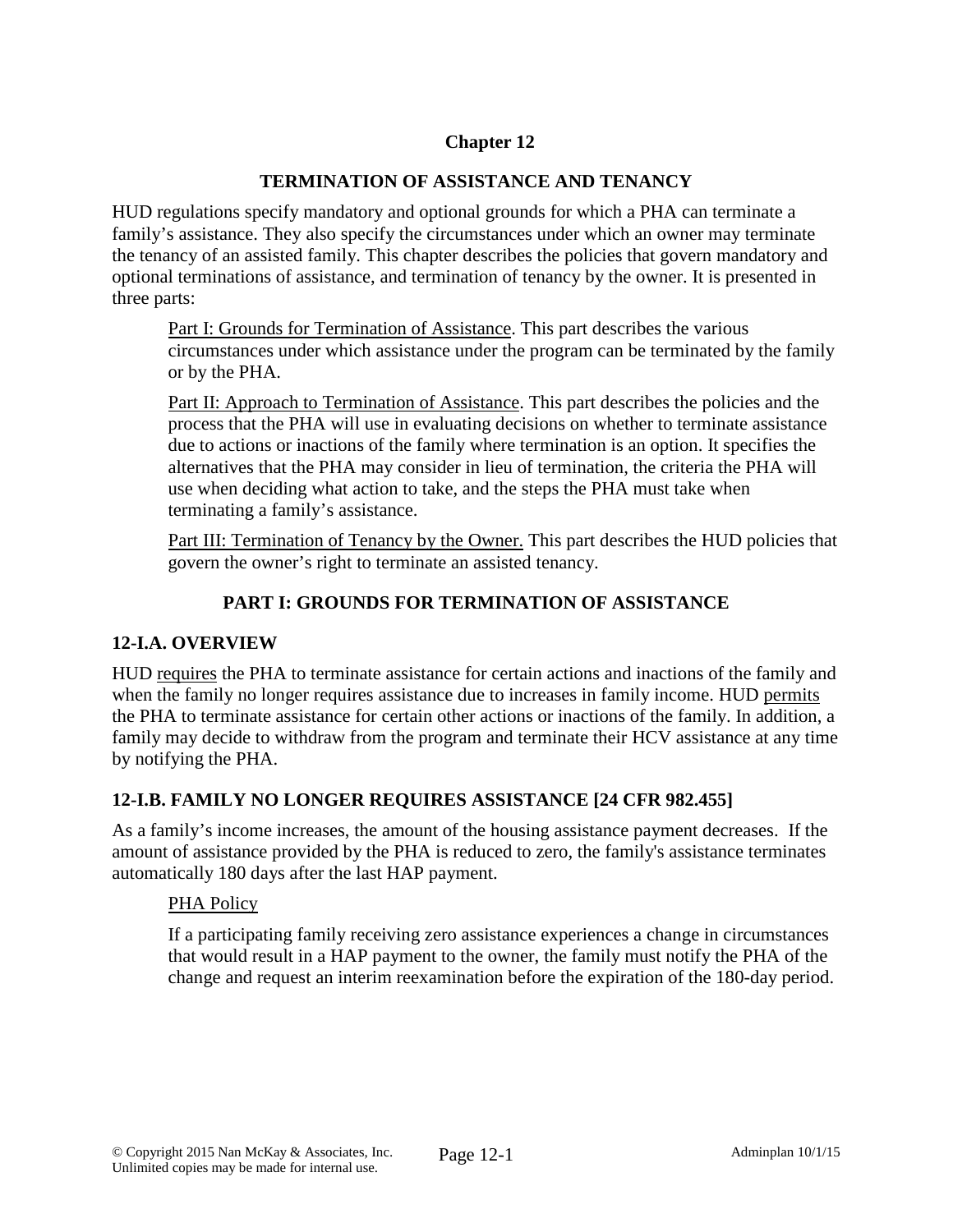# **Chapter 12**

## **TERMINATION OF ASSISTANCE AND TENANCY**

HUD regulations specify mandatory and optional grounds for which a PHA can terminate a family's assistance. They also specify the circumstances under which an owner may terminate the tenancy of an assisted family. This chapter describes the policies that govern mandatory and optional terminations of assistance, and termination of tenancy by the owner. It is presented in three parts:

Part I: Grounds for Termination of Assistance. This part describes the various circumstances under which assistance under the program can be terminated by the family or by the PHA.

Part II: Approach to Termination of Assistance. This part describes the policies and the process that the PHA will use in evaluating decisions on whether to terminate assistance due to actions or inactions of the family where termination is an option. It specifies the alternatives that the PHA may consider in lieu of termination, the criteria the PHA will use when deciding what action to take, and the steps the PHA must take when terminating a family's assistance.

Part III: Termination of Tenancy by the Owner. This part describes the HUD policies that govern the owner's right to terminate an assisted tenancy.

# **PART I: GROUNDS FOR TERMINATION OF ASSISTANCE**

## **12-I.A. OVERVIEW**

HUD requires the PHA to terminate assistance for certain actions and inactions of the family and when the family no longer requires assistance due to increases in family income. HUD permits the PHA to terminate assistance for certain other actions or inactions of the family. In addition, a family may decide to withdraw from the program and terminate their HCV assistance at any time by notifying the PHA.

## **12-I.B. FAMILY NO LONGER REQUIRES ASSISTANCE [24 CFR 982.455]**

As a family's income increases, the amount of the housing assistance payment decreases. If the amount of assistance provided by the PHA is reduced to zero, the family's assistance terminates automatically 180 days after the last HAP payment.

#### PHA Policy

If a participating family receiving zero assistance experiences a change in circumstances that would result in a HAP payment to the owner, the family must notify the PHA of the change and request an interim reexamination before the expiration of the 180-day period.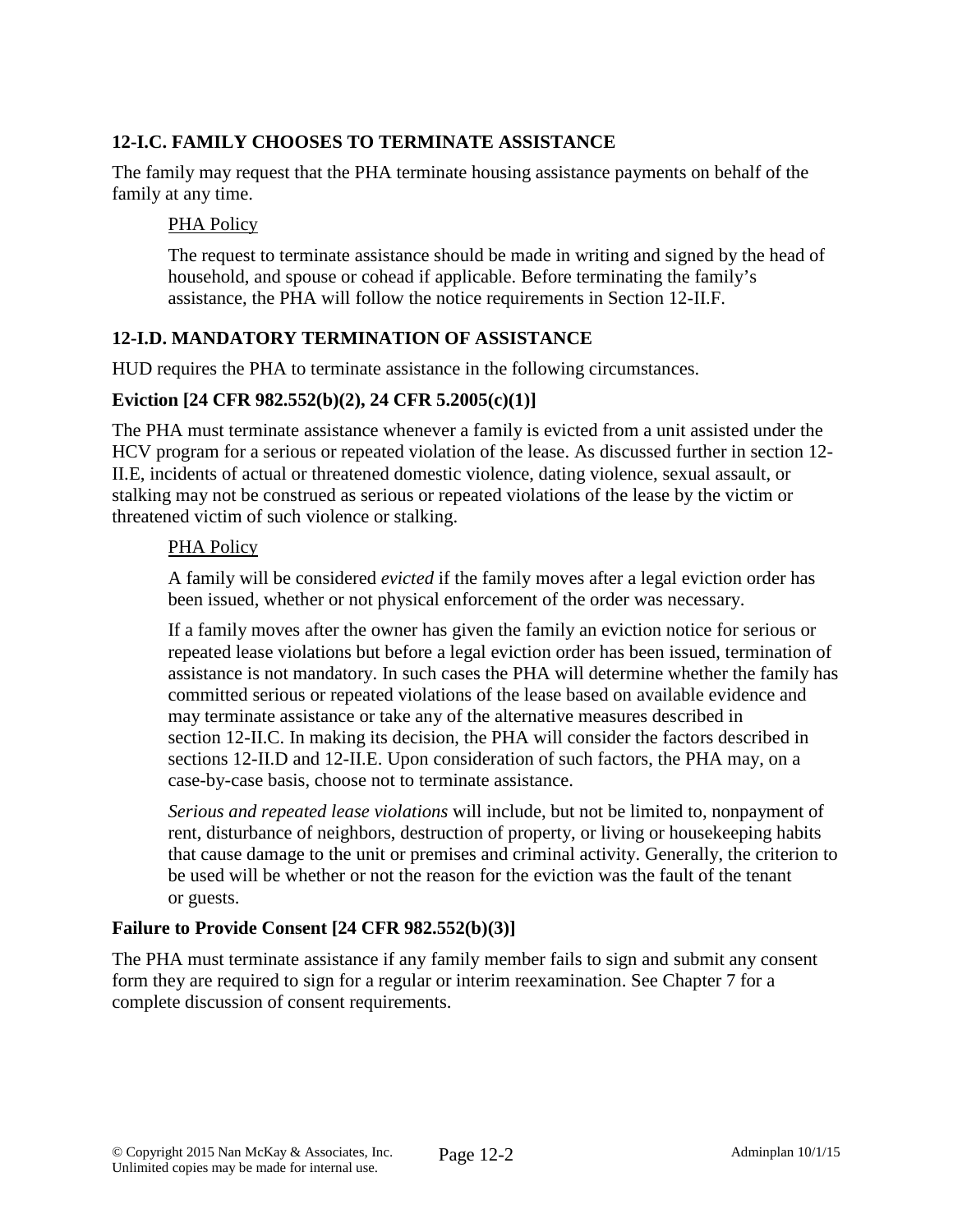# **12-I.C. FAMILY CHOOSES TO TERMINATE ASSISTANCE**

The family may request that the PHA terminate housing assistance payments on behalf of the family at any time.

#### PHA Policy

The request to terminate assistance should be made in writing and signed by the head of household, and spouse or cohead if applicable. Before terminating the family's assistance, the PHA will follow the notice requirements in Section 12-II.F.

## **12-I.D. MANDATORY TERMINATION OF ASSISTANCE**

HUD requires the PHA to terminate assistance in the following circumstances.

#### **Eviction [24 CFR 982.552(b)(2), 24 CFR 5.2005(c)(1)]**

The PHA must terminate assistance whenever a family is evicted from a unit assisted under the HCV program for a serious or repeated violation of the lease. As discussed further in section 12- II.E, incidents of actual or threatened domestic violence, dating violence, sexual assault, or stalking may not be construed as serious or repeated violations of the lease by the victim or threatened victim of such violence or stalking.

#### PHA Policy

A family will be considered *evicted* if the family moves after a legal eviction order has been issued, whether or not physical enforcement of the order was necessary.

If a family moves after the owner has given the family an eviction notice for serious or repeated lease violations but before a legal eviction order has been issued, termination of assistance is not mandatory. In such cases the PHA will determine whether the family has committed serious or repeated violations of the lease based on available evidence and may terminate assistance or take any of the alternative measures described in section 12-II.C. In making its decision, the PHA will consider the factors described in sections 12-II.D and 12-II.E. Upon consideration of such factors, the PHA may, on a case-by-case basis, choose not to terminate assistance.

*Serious and repeated lease violations* will include, but not be limited to, nonpayment of rent, disturbance of neighbors, destruction of property, or living or housekeeping habits that cause damage to the unit or premises and criminal activity. Generally, the criterion to be used will be whether or not the reason for the eviction was the fault of the tenant or guests.

#### **Failure to Provide Consent [24 CFR 982.552(b)(3)]**

The PHA must terminate assistance if any family member fails to sign and submit any consent form they are required to sign for a regular or interim reexamination. See Chapter 7 for a complete discussion of consent requirements.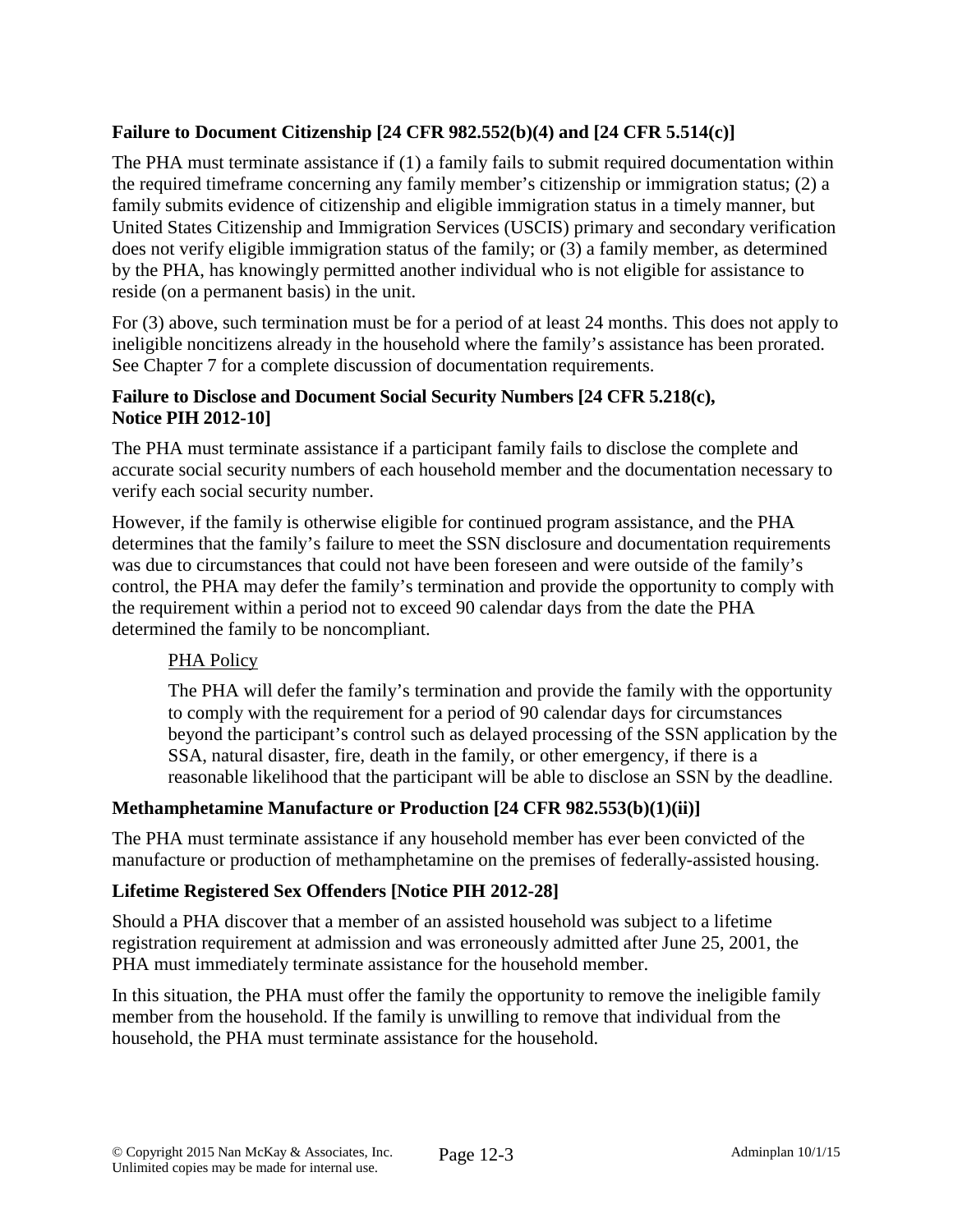## **Failure to Document Citizenship [24 CFR 982.552(b)(4) and [24 CFR 5.514(c)]**

The PHA must terminate assistance if (1) a family fails to submit required documentation within the required timeframe concerning any family member's citizenship or immigration status; (2) a family submits evidence of citizenship and eligible immigration status in a timely manner, but United States Citizenship and Immigration Services (USCIS) primary and secondary verification does not verify eligible immigration status of the family; or (3) a family member, as determined by the PHA, has knowingly permitted another individual who is not eligible for assistance to reside (on a permanent basis) in the unit.

For (3) above, such termination must be for a period of at least 24 months. This does not apply to ineligible noncitizens already in the household where the family's assistance has been prorated. See Chapter 7 for a complete discussion of documentation requirements.

## **Failure to Disclose and Document Social Security Numbers [24 CFR 5.218(c), Notice PIH 2012-10]**

The PHA must terminate assistance if a participant family fails to disclose the complete and accurate social security numbers of each household member and the documentation necessary to verify each social security number.

However, if the family is otherwise eligible for continued program assistance, and the PHA determines that the family's failure to meet the SSN disclosure and documentation requirements was due to circumstances that could not have been foreseen and were outside of the family's control, the PHA may defer the family's termination and provide the opportunity to comply with the requirement within a period not to exceed 90 calendar days from the date the PHA determined the family to be noncompliant.

## PHA Policy

The PHA will defer the family's termination and provide the family with the opportunity to comply with the requirement for a period of 90 calendar days for circumstances beyond the participant's control such as delayed processing of the SSN application by the SSA, natural disaster, fire, death in the family, or other emergency, if there is a reasonable likelihood that the participant will be able to disclose an SSN by the deadline.

## **Methamphetamine Manufacture or Production [24 CFR 982.553(b)(1)(ii)]**

The PHA must terminate assistance if any household member has ever been convicted of the manufacture or production of methamphetamine on the premises of federally-assisted housing.

## **Lifetime Registered Sex Offenders [Notice PIH 2012-28]**

Should a PHA discover that a member of an assisted household was subject to a lifetime registration requirement at admission and was erroneously admitted after June 25, 2001, the PHA must immediately terminate assistance for the household member.

In this situation, the PHA must offer the family the opportunity to remove the ineligible family member from the household. If the family is unwilling to remove that individual from the household, the PHA must terminate assistance for the household.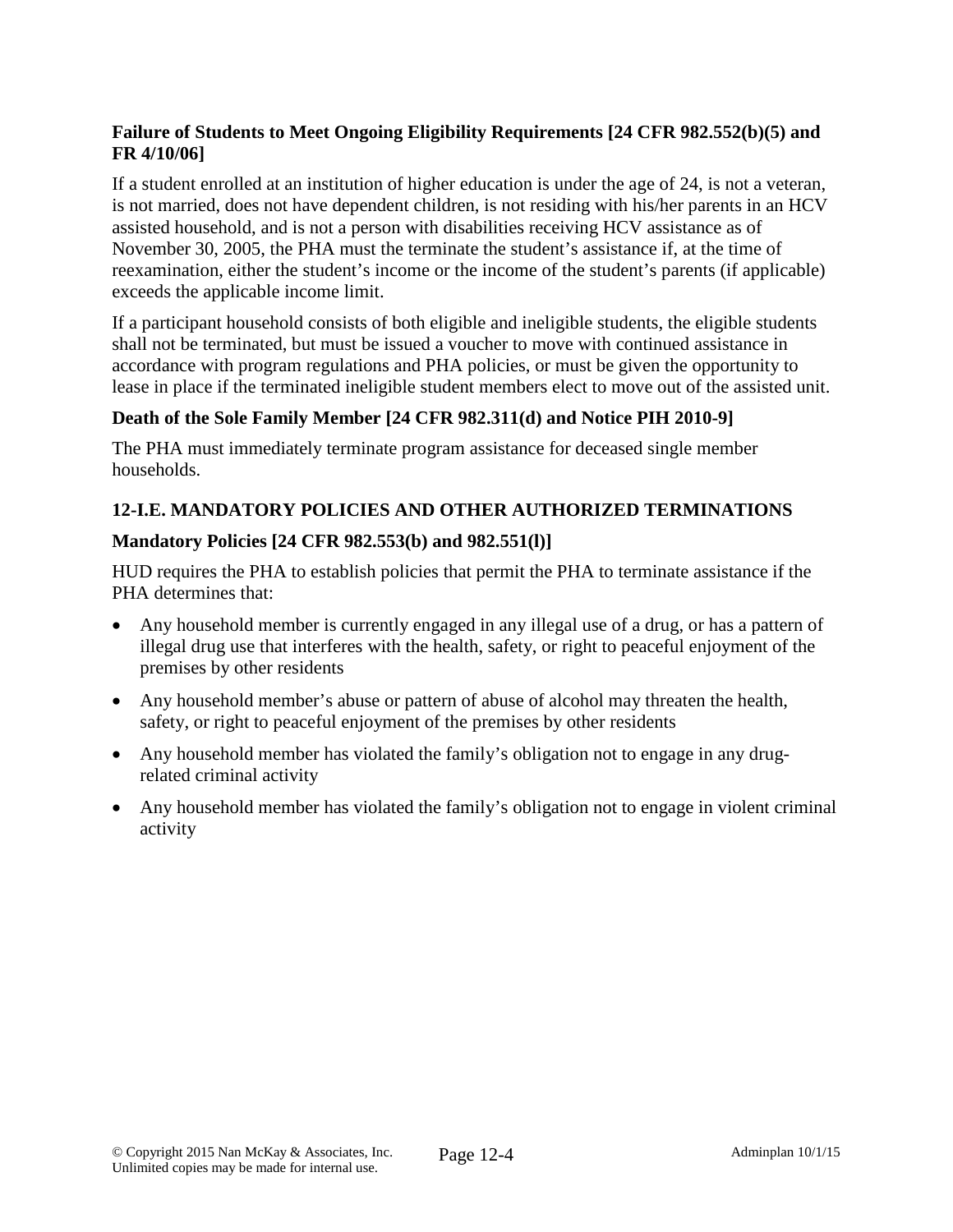## **Failure of Students to Meet Ongoing Eligibility Requirements [24 CFR 982.552(b)(5) and FR 4/10/06]**

If a student enrolled at an institution of higher education is under the age of 24, is not a veteran, is not married, does not have dependent children, is not residing with his/her parents in an HCV assisted household, and is not a person with disabilities receiving HCV assistance as of November 30, 2005, the PHA must the terminate the student's assistance if, at the time of reexamination, either the student's income or the income of the student's parents (if applicable) exceeds the applicable income limit.

If a participant household consists of both eligible and ineligible students, the eligible students shall not be terminated, but must be issued a voucher to move with continued assistance in accordance with program regulations and PHA policies, or must be given the opportunity to lease in place if the terminated ineligible student members elect to move out of the assisted unit.

# **Death of the Sole Family Member [24 CFR 982.311(d) and Notice PIH 2010-9]**

The PHA must immediately terminate program assistance for deceased single member households.

## **12-I.E. MANDATORY POLICIES AND OTHER AUTHORIZED TERMINATIONS**

## **Mandatory Policies [24 CFR 982.553(b) and 982.551(l)]**

HUD requires the PHA to establish policies that permit the PHA to terminate assistance if the PHA determines that:

- Any household member is currently engaged in any illegal use of a drug, or has a pattern of illegal drug use that interferes with the health, safety, or right to peaceful enjoyment of the premises by other residents
- Any household member's abuse or pattern of abuse of alcohol may threaten the health, safety, or right to peaceful enjoyment of the premises by other residents
- Any household member has violated the family's obligation not to engage in any drugrelated criminal activity
- Any household member has violated the family's obligation not to engage in violent criminal activity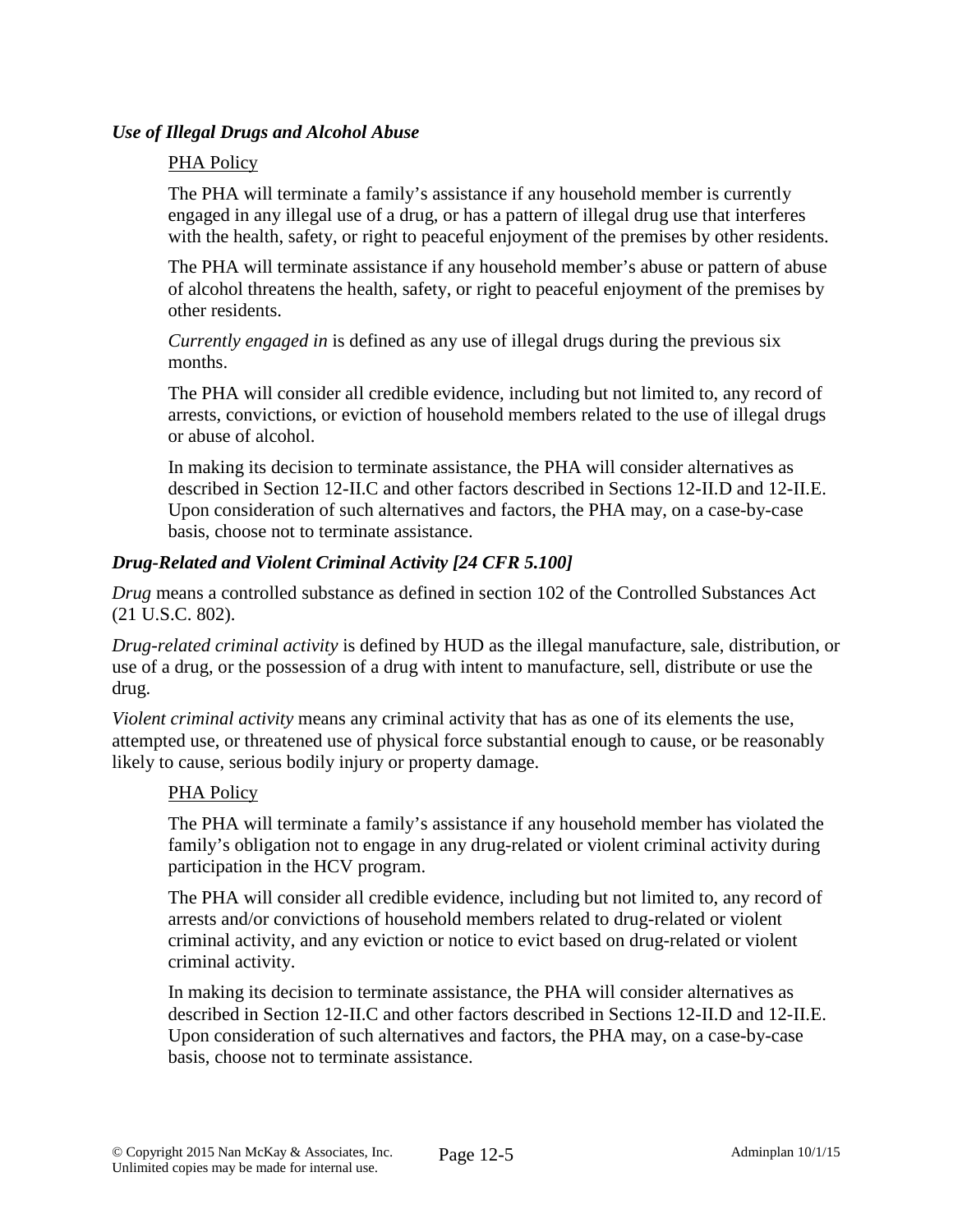### *Use of Illegal Drugs and Alcohol Abuse*

#### PHA Policy

The PHA will terminate a family's assistance if any household member is currently engaged in any illegal use of a drug, or has a pattern of illegal drug use that interferes with the health, safety, or right to peaceful enjoyment of the premises by other residents.

The PHA will terminate assistance if any household member's abuse or pattern of abuse of alcohol threatens the health, safety, or right to peaceful enjoyment of the premises by other residents.

*Currently engaged in* is defined as any use of illegal drugs during the previous six months.

The PHA will consider all credible evidence, including but not limited to, any record of arrests, convictions, or eviction of household members related to the use of illegal drugs or abuse of alcohol.

In making its decision to terminate assistance, the PHA will consider alternatives as described in Section 12-II.C and other factors described in Sections 12-II.D and 12-II.E. Upon consideration of such alternatives and factors, the PHA may, on a case-by-case basis, choose not to terminate assistance.

## *Drug-Related and Violent Criminal Activity [24 CFR 5.100]*

*Drug* means a controlled substance as defined in section 102 of the Controlled Substances Act (21 U.S.C. 802).

*Drug-related criminal activity* is defined by HUD as the illegal manufacture, sale, distribution, or use of a drug, or the possession of a drug with intent to manufacture, sell, distribute or use the drug.

*Violent criminal activity* means any criminal activity that has as one of its elements the use, attempted use, or threatened use of physical force substantial enough to cause, or be reasonably likely to cause, serious bodily injury or property damage.

## PHA Policy

The PHA will terminate a family's assistance if any household member has violated the family's obligation not to engage in any drug-related or violent criminal activity during participation in the HCV program.

The PHA will consider all credible evidence, including but not limited to, any record of arrests and/or convictions of household members related to drug-related or violent criminal activity, and any eviction or notice to evict based on drug-related or violent criminal activity.

In making its decision to terminate assistance, the PHA will consider alternatives as described in Section 12-II.C and other factors described in Sections 12-II.D and 12-II.E. Upon consideration of such alternatives and factors, the PHA may, on a case-by-case basis, choose not to terminate assistance.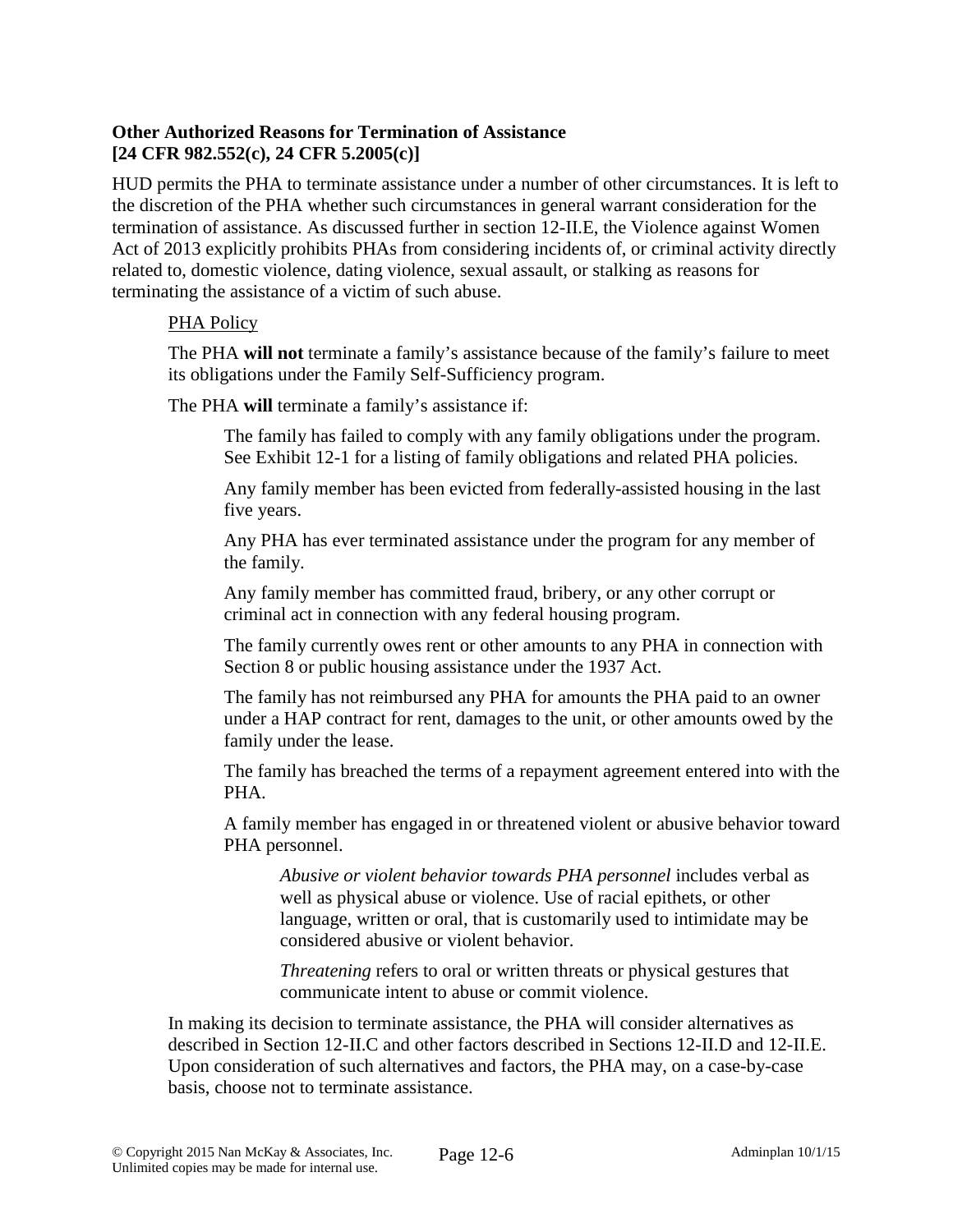## **Other Authorized Reasons for Termination of Assistance [24 CFR 982.552(c), 24 CFR 5.2005(c)]**

HUD permits the PHA to terminate assistance under a number of other circumstances. It is left to the discretion of the PHA whether such circumstances in general warrant consideration for the termination of assistance. As discussed further in section 12-II.E, the Violence against Women Act of 2013 explicitly prohibits PHAs from considering incidents of, or criminal activity directly related to, domestic violence, dating violence, sexual assault, or stalking as reasons for terminating the assistance of a victim of such abuse.

#### PHA Policy

The PHA **will not** terminate a family's assistance because of the family's failure to meet its obligations under the Family Self-Sufficiency program.

The PHA **will** terminate a family's assistance if:

The family has failed to comply with any family obligations under the program. See Exhibit 12-1 for a listing of family obligations and related PHA policies.

Any family member has been evicted from federally-assisted housing in the last five years.

Any PHA has ever terminated assistance under the program for any member of the family.

Any family member has committed fraud, bribery, or any other corrupt or criminal act in connection with any federal housing program.

The family currently owes rent or other amounts to any PHA in connection with Section 8 or public housing assistance under the 1937 Act.

The family has not reimbursed any PHA for amounts the PHA paid to an owner under a HAP contract for rent, damages to the unit, or other amounts owed by the family under the lease.

The family has breached the terms of a repayment agreement entered into with the PHA.

A family member has engaged in or threatened violent or abusive behavior toward PHA personnel.

*Abusive or violent behavior towards PHA personnel* includes verbal as well as physical abuse or violence. Use of racial epithets, or other language, written or oral, that is customarily used to intimidate may be considered abusive or violent behavior.

*Threatening* refers to oral or written threats or physical gestures that communicate intent to abuse or commit violence.

In making its decision to terminate assistance, the PHA will consider alternatives as described in Section 12-II.C and other factors described in Sections 12-II.D and 12-II.E. Upon consideration of such alternatives and factors, the PHA may, on a case-by-case basis, choose not to terminate assistance.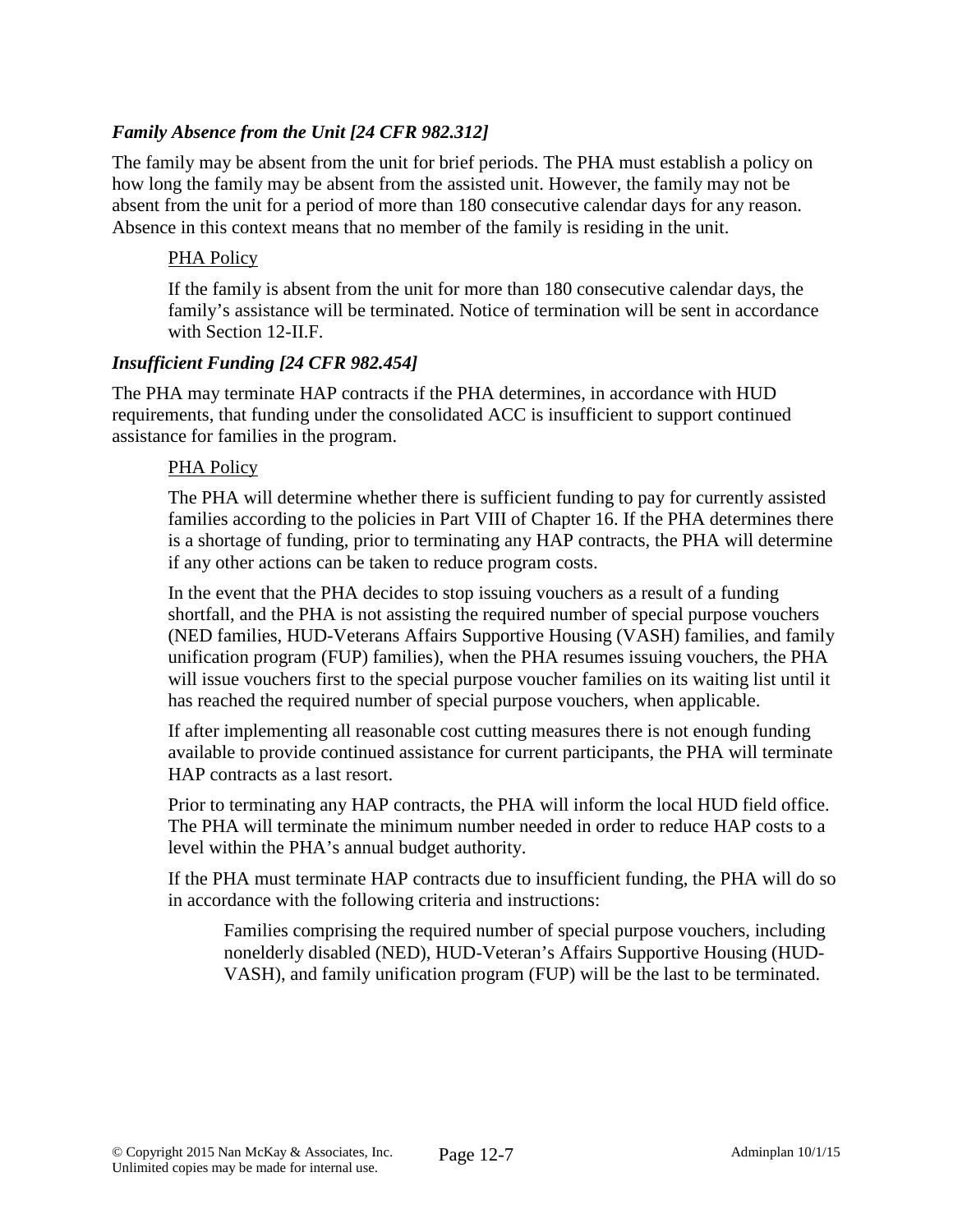## *Family Absence from the Unit [24 CFR 982.312]*

The family may be absent from the unit for brief periods. The PHA must establish a policy on how long the family may be absent from the assisted unit. However, the family may not be absent from the unit for a period of more than 180 consecutive calendar days for any reason. Absence in this context means that no member of the family is residing in the unit.

### PHA Policy

If the family is absent from the unit for more than 180 consecutive calendar days, the family's assistance will be terminated. Notice of termination will be sent in accordance with Section 12-II.F.

#### *Insufficient Funding [24 CFR 982.454]*

The PHA may terminate HAP contracts if the PHA determines, in accordance with HUD requirements, that funding under the consolidated ACC is insufficient to support continued assistance for families in the program.

#### PHA Policy

The PHA will determine whether there is sufficient funding to pay for currently assisted families according to the policies in Part VIII of Chapter 16. If the PHA determines there is a shortage of funding, prior to terminating any HAP contracts, the PHA will determine if any other actions can be taken to reduce program costs.

In the event that the PHA decides to stop issuing vouchers as a result of a funding shortfall, and the PHA is not assisting the required number of special purpose vouchers (NED families, HUD-Veterans Affairs Supportive Housing (VASH) families, and family unification program (FUP) families), when the PHA resumes issuing vouchers, the PHA will issue vouchers first to the special purpose voucher families on its waiting list until it has reached the required number of special purpose vouchers, when applicable.

If after implementing all reasonable cost cutting measures there is not enough funding available to provide continued assistance for current participants, the PHA will terminate HAP contracts as a last resort.

Prior to terminating any HAP contracts, the PHA will inform the local HUD field office. The PHA will terminate the minimum number needed in order to reduce HAP costs to a level within the PHA's annual budget authority.

If the PHA must terminate HAP contracts due to insufficient funding, the PHA will do so in accordance with the following criteria and instructions:

Families comprising the required number of special purpose vouchers, including nonelderly disabled (NED), HUD-Veteran's Affairs Supportive Housing (HUD-VASH), and family unification program (FUP) will be the last to be terminated.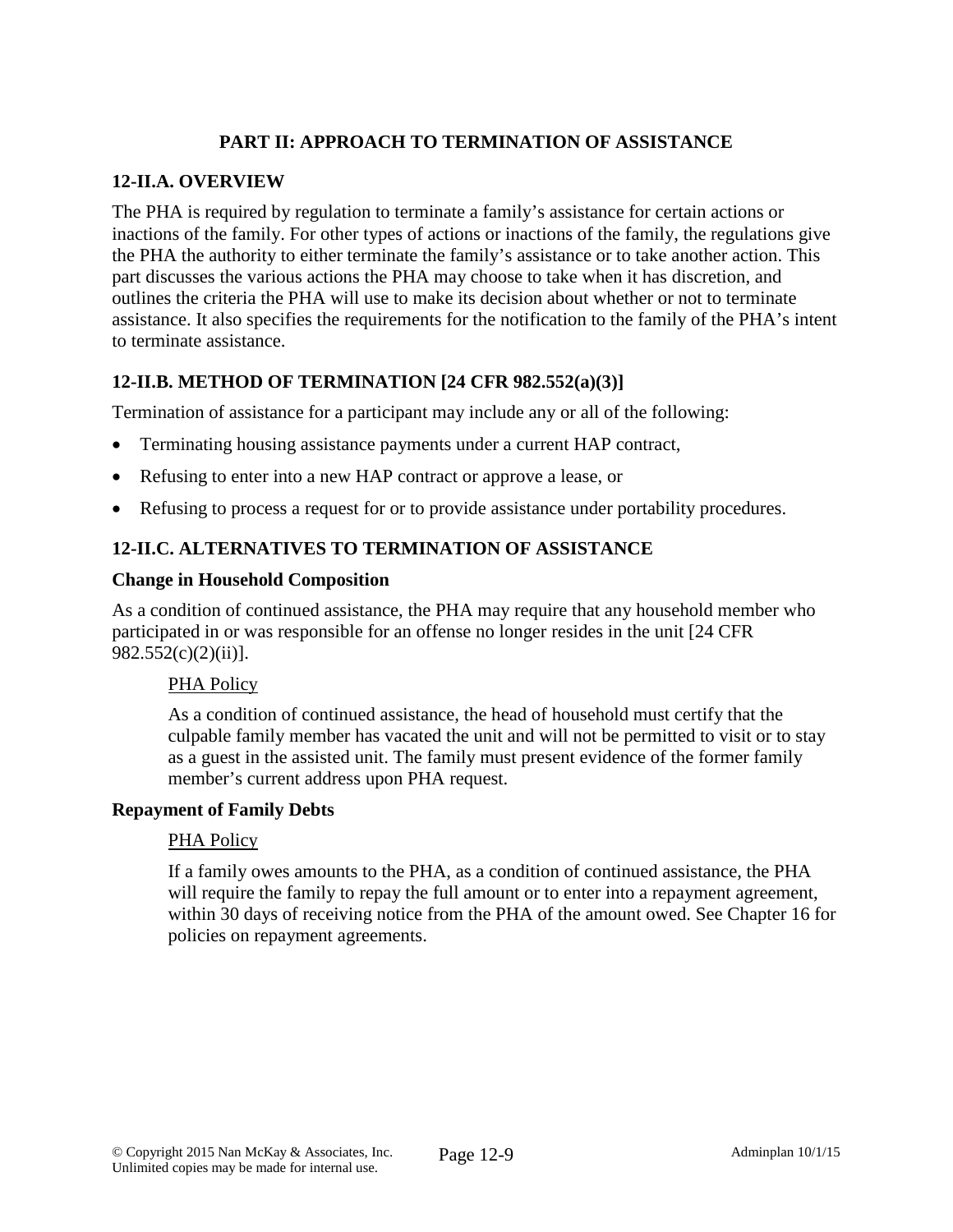# **PART II: APPROACH TO TERMINATION OF ASSISTANCE**

### **12-II.A. OVERVIEW**

The PHA is required by regulation to terminate a family's assistance for certain actions or inactions of the family. For other types of actions or inactions of the family, the regulations give the PHA the authority to either terminate the family's assistance or to take another action. This part discusses the various actions the PHA may choose to take when it has discretion, and outlines the criteria the PHA will use to make its decision about whether or not to terminate assistance. It also specifies the requirements for the notification to the family of the PHA's intent to terminate assistance.

# **12-II.B. METHOD OF TERMINATION [24 CFR 982.552(a)(3)]**

Termination of assistance for a participant may include any or all of the following:

- Terminating housing assistance payments under a current HAP contract,
- Refusing to enter into a new HAP contract or approve a lease, or
- Refusing to process a request for or to provide assistance under portability procedures.

## **12-II.C. ALTERNATIVES TO TERMINATION OF ASSISTANCE**

#### **Change in Household Composition**

As a condition of continued assistance, the PHA may require that any household member who participated in or was responsible for an offense no longer resides in the unit [24 CFR 982.552(c)(2)(ii)].

#### PHA Policy

As a condition of continued assistance, the head of household must certify that the culpable family member has vacated the unit and will not be permitted to visit or to stay as a guest in the assisted unit. The family must present evidence of the former family member's current address upon PHA request.

#### **Repayment of Family Debts**

#### PHA Policy

If a family owes amounts to the PHA, as a condition of continued assistance, the PHA will require the family to repay the full amount or to enter into a repayment agreement, within 30 days of receiving notice from the PHA of the amount owed. See Chapter 16 for policies on repayment agreements.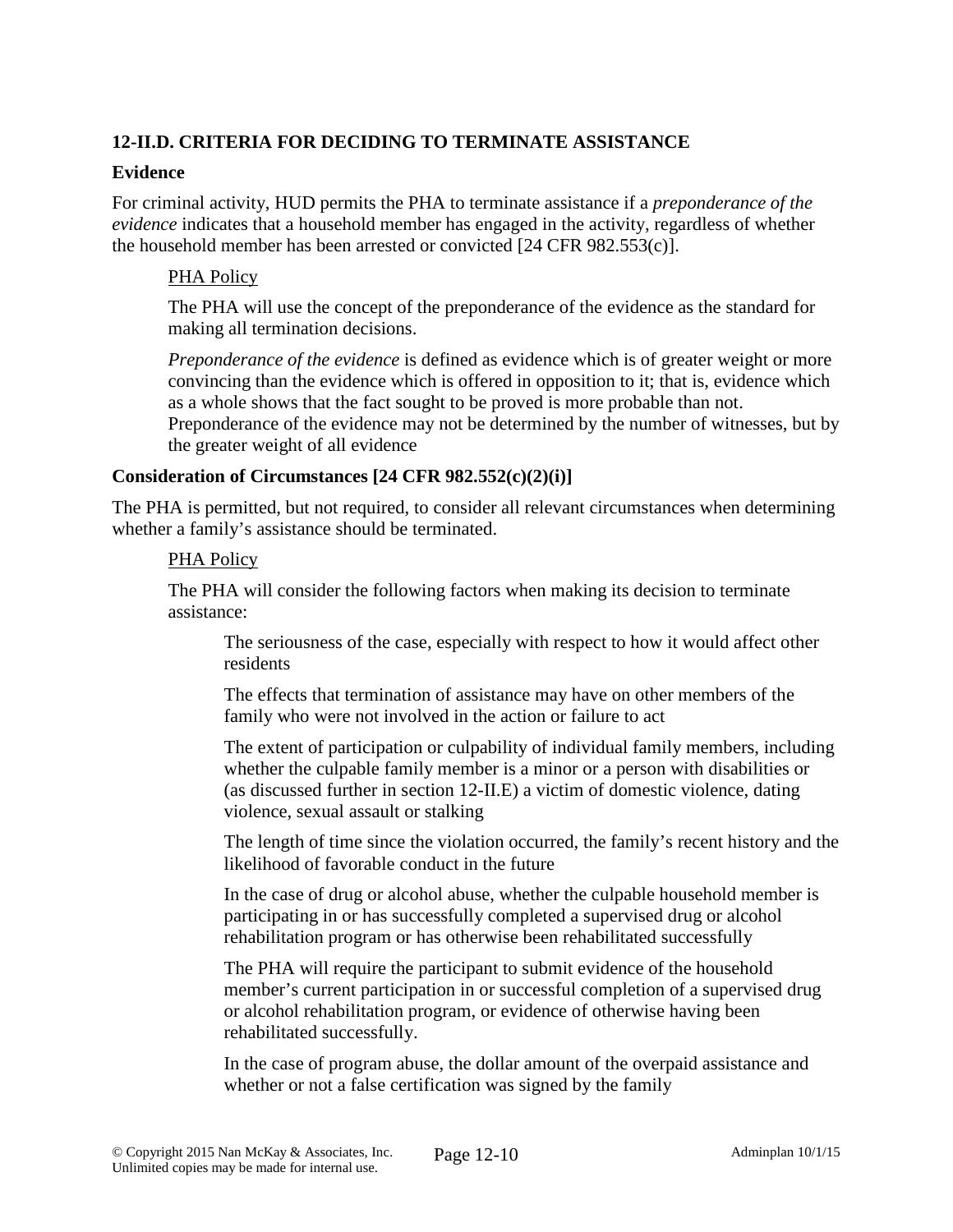# **12-II.D. CRITERIA FOR DECIDING TO TERMINATE ASSISTANCE**

#### **Evidence**

For criminal activity, HUD permits the PHA to terminate assistance if a *preponderance of the evidence* indicates that a household member has engaged in the activity, regardless of whether the household member has been arrested or convicted [24 CFR 982.553(c)].

#### PHA Policy

The PHA will use the concept of the preponderance of the evidence as the standard for making all termination decisions.

*Preponderance of the evidence* is defined as evidence which is of greater weight or more convincing than the evidence which is offered in opposition to it; that is, evidence which as a whole shows that the fact sought to be proved is more probable than not. Preponderance of the evidence may not be determined by the number of witnesses, but by

the greater weight of all evidence

## **Consideration of Circumstances [24 CFR 982.552(c)(2)(i)]**

The PHA is permitted, but not required, to consider all relevant circumstances when determining whether a family's assistance should be terminated.

#### PHA Policy

The PHA will consider the following factors when making its decision to terminate assistance:

The seriousness of the case, especially with respect to how it would affect other residents

The effects that termination of assistance may have on other members of the family who were not involved in the action or failure to act

The extent of participation or culpability of individual family members, including whether the culpable family member is a minor or a person with disabilities or (as discussed further in section 12-II.E) a victim of domestic violence, dating violence, sexual assault or stalking

The length of time since the violation occurred, the family's recent history and the likelihood of favorable conduct in the future

In the case of drug or alcohol abuse, whether the culpable household member is participating in or has successfully completed a supervised drug or alcohol rehabilitation program or has otherwise been rehabilitated successfully

The PHA will require the participant to submit evidence of the household member's current participation in or successful completion of a supervised drug or alcohol rehabilitation program, or evidence of otherwise having been rehabilitated successfully.

In the case of program abuse, the dollar amount of the overpaid assistance and whether or not a false certification was signed by the family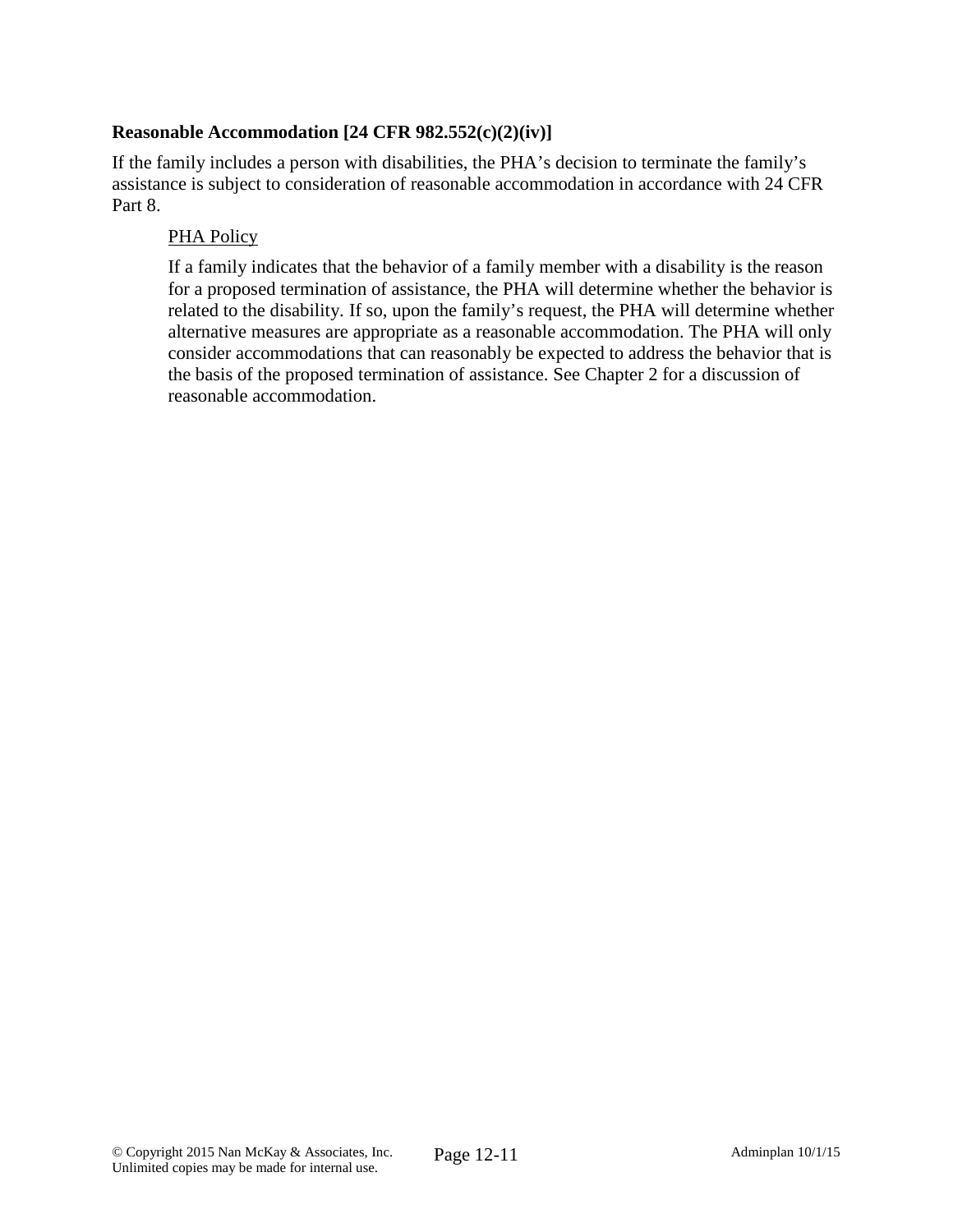## **Reasonable Accommodation [24 CFR 982.552(c)(2)(iv)]**

If the family includes a person with disabilities, the PHA's decision to terminate the family's assistance is subject to consideration of reasonable accommodation in accordance with 24 CFR Part 8.

## PHA Policy

If a family indicates that the behavior of a family member with a disability is the reason for a proposed termination of assistance, the PHA will determine whether the behavior is related to the disability. If so, upon the family's request, the PHA will determine whether alternative measures are appropriate as a reasonable accommodation. The PHA will only consider accommodations that can reasonably be expected to address the behavior that is the basis of the proposed termination of assistance. See Chapter 2 for a discussion of reasonable accommodation.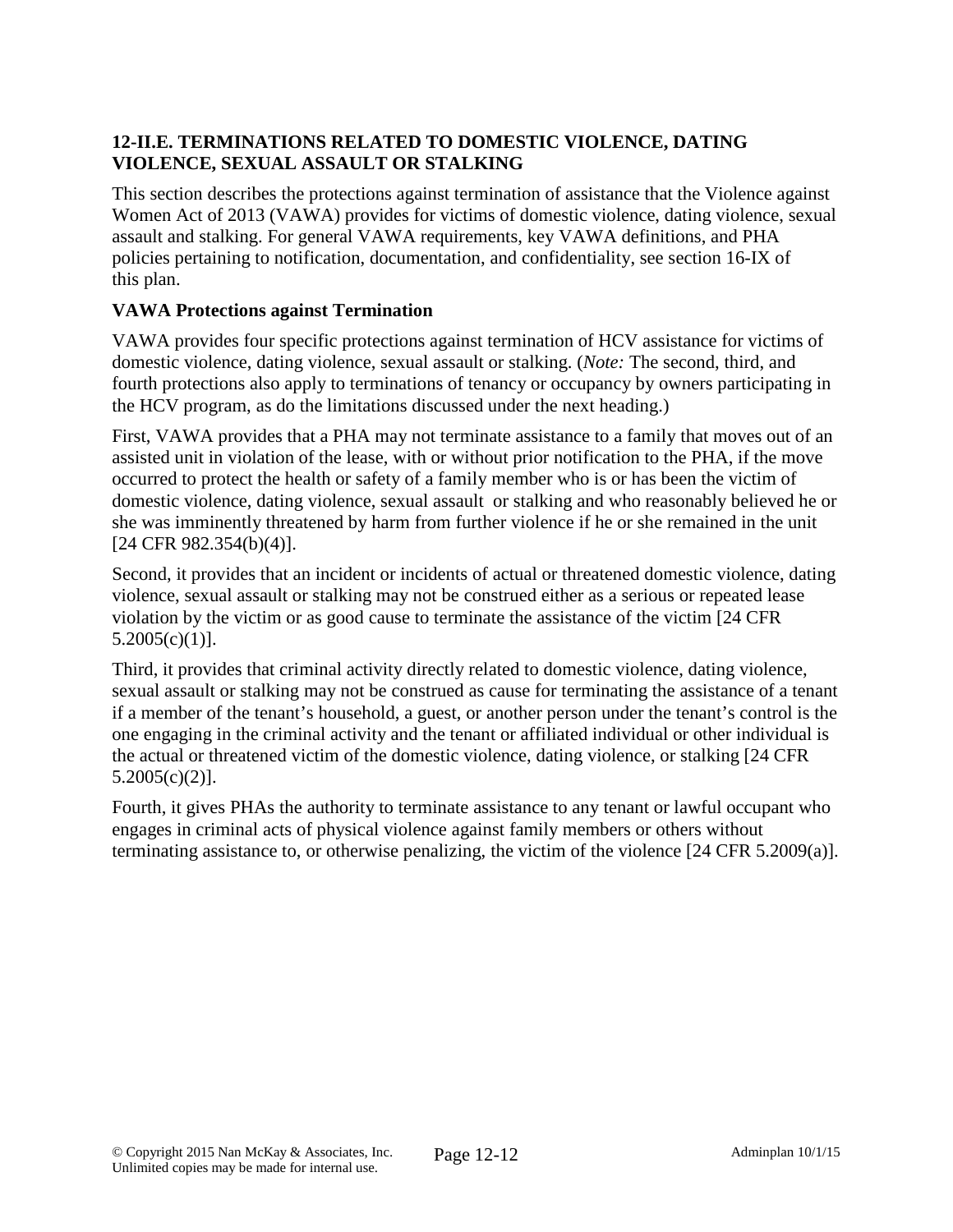# **12-II.E. TERMINATIONS RELATED TO DOMESTIC VIOLENCE, DATING VIOLENCE, SEXUAL ASSAULT OR STALKING**

This section describes the protections against termination of assistance that the Violence against Women Act of 2013 (VAWA) provides for victims of domestic violence, dating violence, sexual assault and stalking. For general VAWA requirements, key VAWA definitions, and PHA policies pertaining to notification, documentation, and confidentiality, see section 16-IX of this plan.

# **VAWA Protections against Termination**

VAWA provides four specific protections against termination of HCV assistance for victims of domestic violence, dating violence, sexual assault or stalking. (*Note:* The second, third, and fourth protections also apply to terminations of tenancy or occupancy by owners participating in the HCV program, as do the limitations discussed under the next heading.)

First, VAWA provides that a PHA may not terminate assistance to a family that moves out of an assisted unit in violation of the lease, with or without prior notification to the PHA, if the move occurred to protect the health or safety of a family member who is or has been the victim of domestic violence, dating violence, sexual assault or stalking and who reasonably believed he or she was imminently threatened by harm from further violence if he or she remained in the unit [24 CFR 982.354(b)(4)].

Second, it provides that an incident or incidents of actual or threatened domestic violence, dating violence, sexual assault or stalking may not be construed either as a serious or repeated lease violation by the victim or as good cause to terminate the assistance of the victim [24 CFR 5.2005(c)(1)].

Third, it provides that criminal activity directly related to domestic violence, dating violence, sexual assault or stalking may not be construed as cause for terminating the assistance of a tenant if a member of the tenant's household, a guest, or another person under the tenant's control is the one engaging in the criminal activity and the tenant or affiliated individual or other individual is the actual or threatened victim of the domestic violence, dating violence, or stalking [24 CFR 5.2005(c)(2)].

Fourth, it gives PHAs the authority to terminate assistance to any tenant or lawful occupant who engages in criminal acts of physical violence against family members or others without terminating assistance to, or otherwise penalizing, the victim of the violence [24 CFR 5.2009(a)].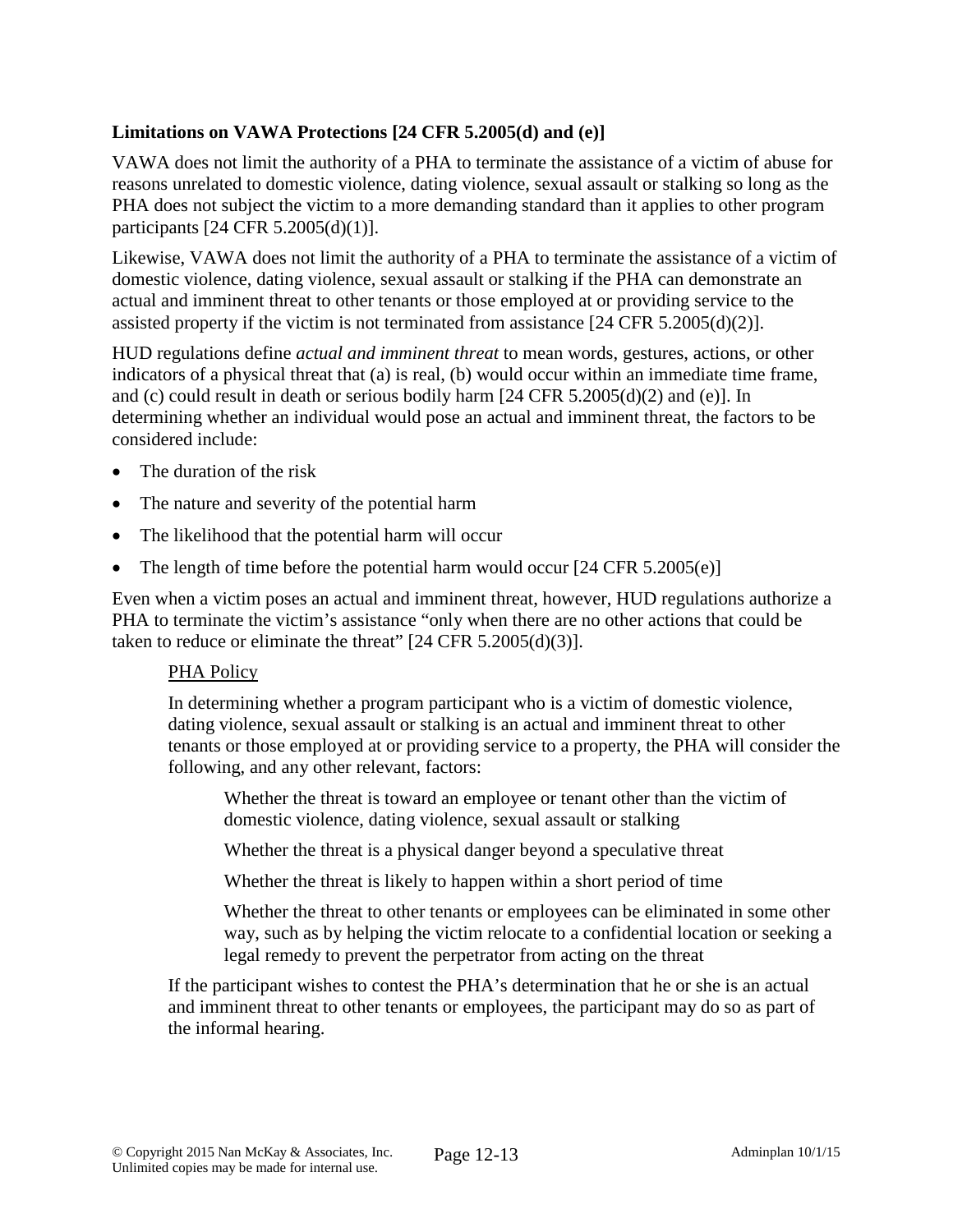## **Limitations on VAWA Protections [24 CFR 5.2005(d) and (e)]**

VAWA does not limit the authority of a PHA to terminate the assistance of a victim of abuse for reasons unrelated to domestic violence, dating violence, sexual assault or stalking so long as the PHA does not subject the victim to a more demanding standard than it applies to other program participants [24 CFR 5.2005(d)(1)].

Likewise, VAWA does not limit the authority of a PHA to terminate the assistance of a victim of domestic violence, dating violence, sexual assault or stalking if the PHA can demonstrate an actual and imminent threat to other tenants or those employed at or providing service to the assisted property if the victim is not terminated from assistance  $[24 \text{ CFR } 5.2005 \text{ (d)}(2)]$ .

HUD regulations define *actual and imminent threat* to mean words, gestures, actions, or other indicators of a physical threat that (a) is real, (b) would occur within an immediate time frame, and (c) could result in death or serious bodily harm [24 CFR 5.2005(d)(2) and (e)]. In determining whether an individual would pose an actual and imminent threat, the factors to be considered include:

- The duration of the risk
- The nature and severity of the potential harm
- The likelihood that the potential harm will occur
- The length of time before the potential harm would occur  $[24 \text{ CFR } 5.2005(e)]$

Even when a victim poses an actual and imminent threat, however, HUD regulations authorize a PHA to terminate the victim's assistance "only when there are no other actions that could be taken to reduce or eliminate the threat"  $[24 \text{ CFR } 5.2005 \text{ (d)}(3)]$ .

## PHA Policy

In determining whether a program participant who is a victim of domestic violence, dating violence, sexual assault or stalking is an actual and imminent threat to other tenants or those employed at or providing service to a property, the PHA will consider the following, and any other relevant, factors:

Whether the threat is toward an employee or tenant other than the victim of domestic violence, dating violence, sexual assault or stalking

Whether the threat is a physical danger beyond a speculative threat

Whether the threat is likely to happen within a short period of time

Whether the threat to other tenants or employees can be eliminated in some other way, such as by helping the victim relocate to a confidential location or seeking a legal remedy to prevent the perpetrator from acting on the threat

If the participant wishes to contest the PHA's determination that he or she is an actual and imminent threat to other tenants or employees, the participant may do so as part of the informal hearing.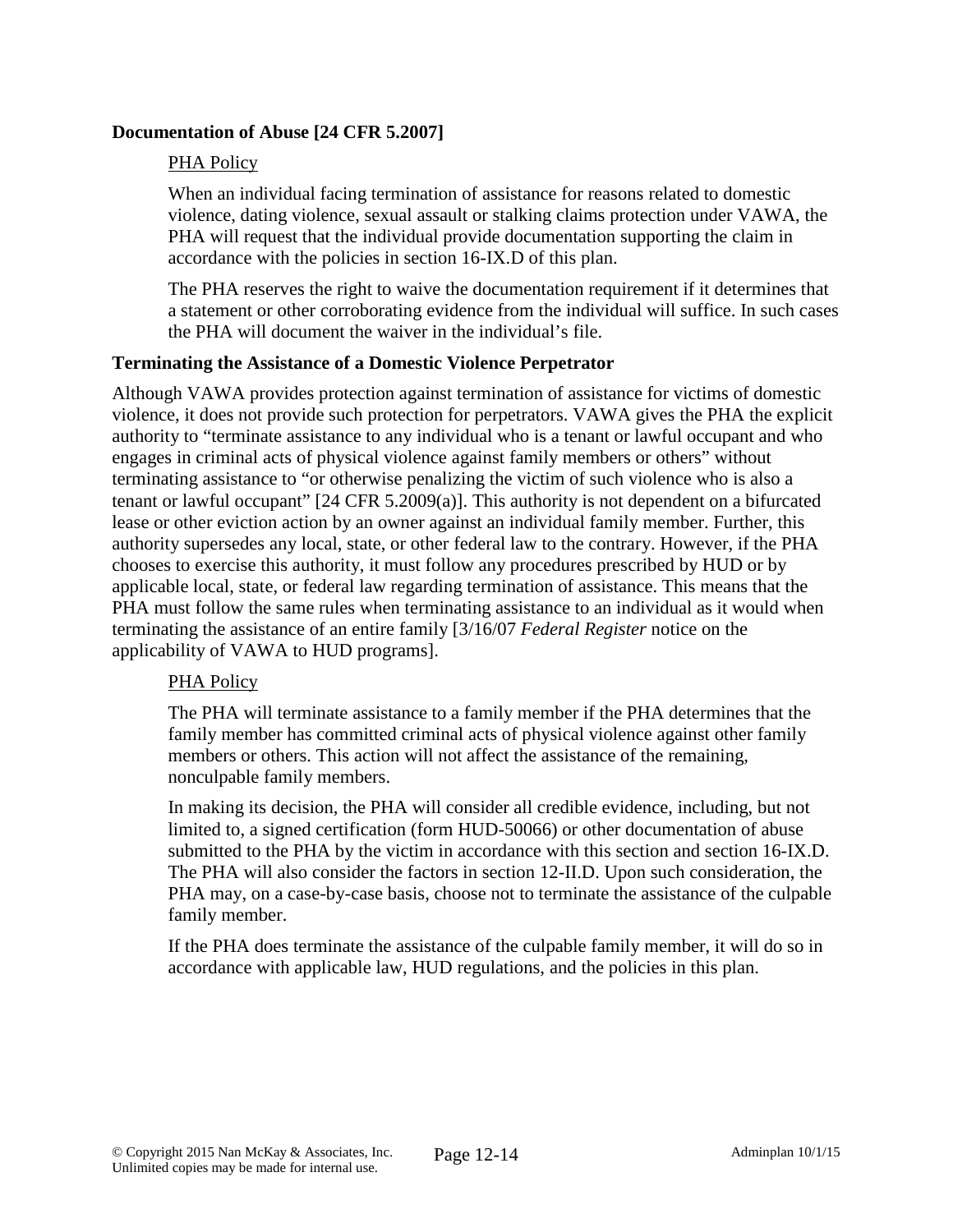## **Documentation of Abuse [24 CFR 5.2007]**

## PHA Policy

When an individual facing termination of assistance for reasons related to domestic violence, dating violence, sexual assault or stalking claims protection under VAWA, the PHA will request that the individual provide documentation supporting the claim in accordance with the policies in section 16-IX.D of this plan.

The PHA reserves the right to waive the documentation requirement if it determines that a statement or other corroborating evidence from the individual will suffice. In such cases the PHA will document the waiver in the individual's file.

## **Terminating the Assistance of a Domestic Violence Perpetrator**

Although VAWA provides protection against termination of assistance for victims of domestic violence, it does not provide such protection for perpetrators. VAWA gives the PHA the explicit authority to "terminate assistance to any individual who is a tenant or lawful occupant and who engages in criminal acts of physical violence against family members or others" without terminating assistance to "or otherwise penalizing the victim of such violence who is also a tenant or lawful occupant" [24 CFR 5.2009(a)]. This authority is not dependent on a bifurcated lease or other eviction action by an owner against an individual family member. Further, this authority supersedes any local, state, or other federal law to the contrary. However, if the PHA chooses to exercise this authority, it must follow any procedures prescribed by HUD or by applicable local, state, or federal law regarding termination of assistance. This means that the PHA must follow the same rules when terminating assistance to an individual as it would when terminating the assistance of an entire family [3/16/07 *Federal Register* notice on the applicability of VAWA to HUD programs].

## PHA Policy

The PHA will terminate assistance to a family member if the PHA determines that the family member has committed criminal acts of physical violence against other family members or others. This action will not affect the assistance of the remaining, nonculpable family members.

In making its decision, the PHA will consider all credible evidence, including, but not limited to, a signed certification (form HUD-50066) or other documentation of abuse submitted to the PHA by the victim in accordance with this section and section 16-IX.D. The PHA will also consider the factors in section 12-II.D. Upon such consideration, the PHA may, on a case-by-case basis, choose not to terminate the assistance of the culpable family member.

If the PHA does terminate the assistance of the culpable family member, it will do so in accordance with applicable law, HUD regulations, and the policies in this plan.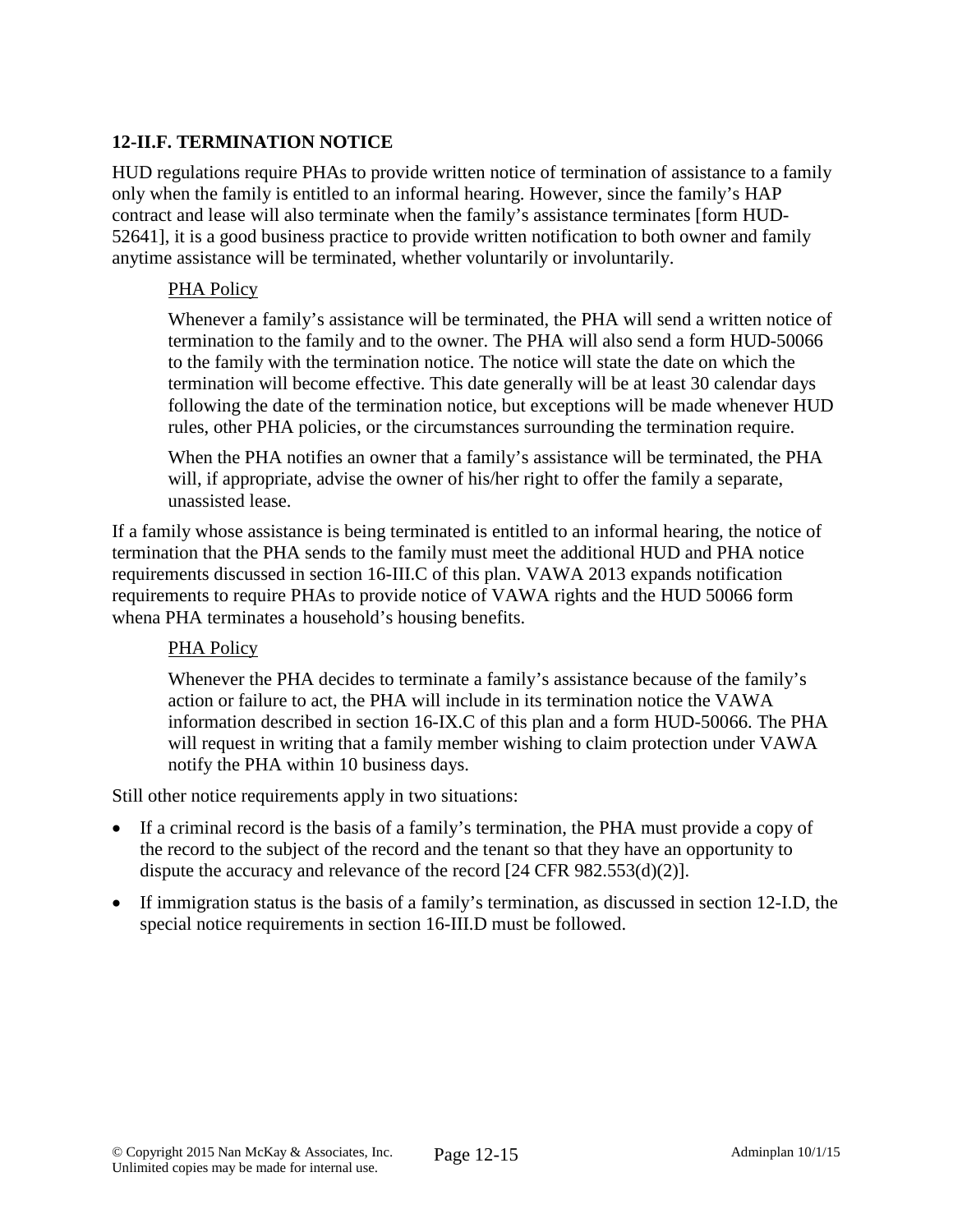# **12-II.F. TERMINATION NOTICE**

HUD regulations require PHAs to provide written notice of termination of assistance to a family only when the family is entitled to an informal hearing. However, since the family's HAP contract and lease will also terminate when the family's assistance terminates [form HUD-52641], it is a good business practice to provide written notification to both owner and family anytime assistance will be terminated, whether voluntarily or involuntarily.

### PHA Policy

Whenever a family's assistance will be terminated, the PHA will send a written notice of termination to the family and to the owner. The PHA will also send a form HUD-50066 to the family with the termination notice. The notice will state the date on which the termination will become effective. This date generally will be at least 30 calendar days following the date of the termination notice, but exceptions will be made whenever HUD rules, other PHA policies, or the circumstances surrounding the termination require.

When the PHA notifies an owner that a family's assistance will be terminated, the PHA will, if appropriate, advise the owner of his/her right to offer the family a separate, unassisted lease.

If a family whose assistance is being terminated is entitled to an informal hearing, the notice of termination that the PHA sends to the family must meet the additional HUD and PHA notice requirements discussed in section 16-III.C of this plan. VAWA 2013 expands notification requirements to require PHAs to provide notice of VAWA rights and the HUD 50066 form whena PHA terminates a household's housing benefits.

#### PHA Policy

Whenever the PHA decides to terminate a family's assistance because of the family's action or failure to act, the PHA will include in its termination notice the VAWA information described in section 16-IX.C of this plan and a form HUD-50066. The PHA will request in writing that a family member wishing to claim protection under VAWA notify the PHA within 10 business days.

Still other notice requirements apply in two situations:

- If a criminal record is the basis of a family's termination, the PHA must provide a copy of the record to the subject of the record and the tenant so that they have an opportunity to dispute the accuracy and relevance of the record [24 CFR 982.553(d)(2)].
- If immigration status is the basis of a family's termination, as discussed in section 12-I.D, the special notice requirements in section 16-III.D must be followed.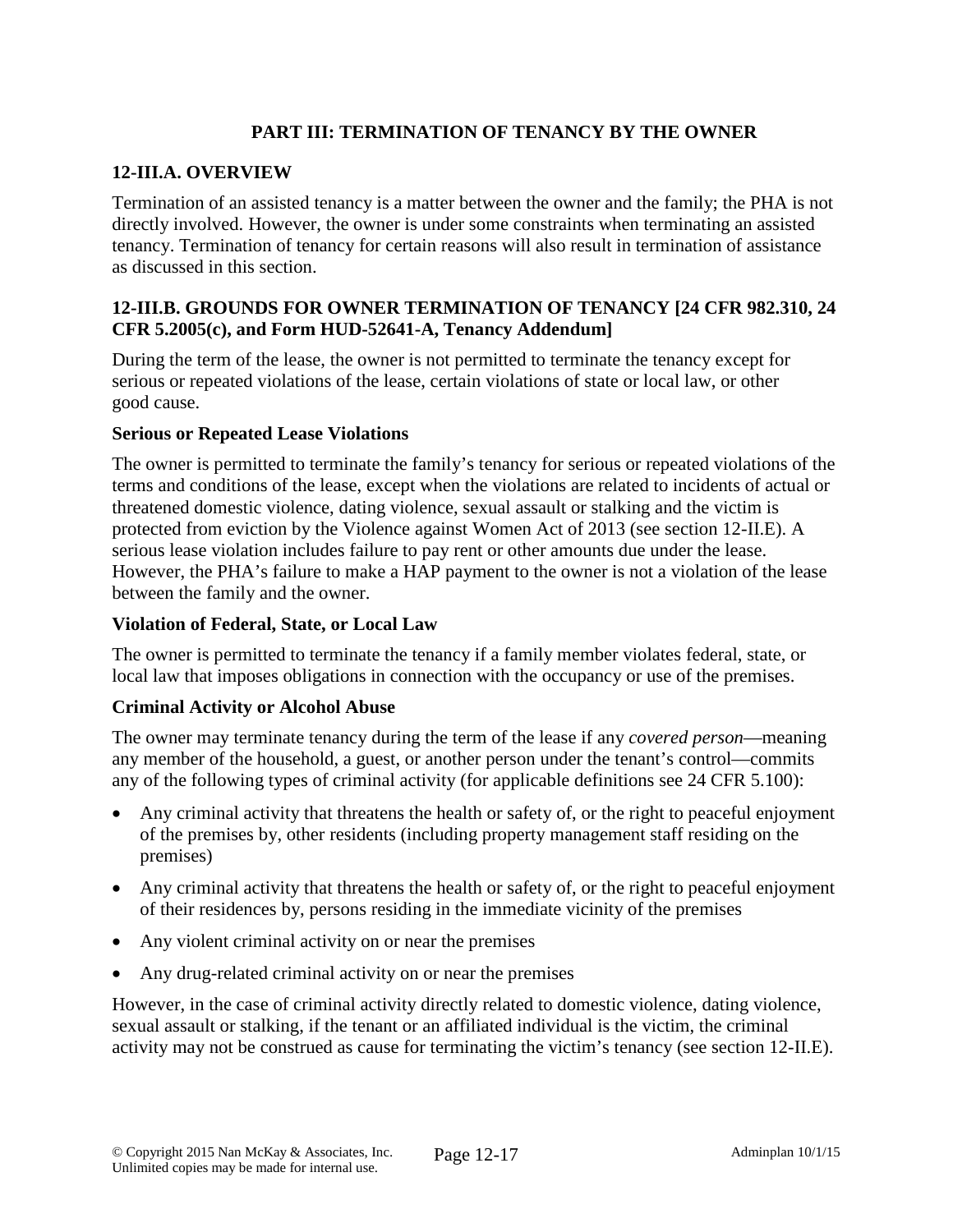# **PART III: TERMINATION OF TENANCY BY THE OWNER**

#### **12-III.A. OVERVIEW**

Termination of an assisted tenancy is a matter between the owner and the family; the PHA is not directly involved. However, the owner is under some constraints when terminating an assisted tenancy. Termination of tenancy for certain reasons will also result in termination of assistance as discussed in this section.

### **12-III.B. GROUNDS FOR OWNER TERMINATION OF TENANCY [24 CFR 982.310, 24 CFR 5.2005(c), and Form HUD-52641-A, Tenancy Addendum]**

During the term of the lease, the owner is not permitted to terminate the tenancy except for serious or repeated violations of the lease, certain violations of state or local law, or other good cause.

#### **Serious or Repeated Lease Violations**

The owner is permitted to terminate the family's tenancy for serious or repeated violations of the terms and conditions of the lease, except when the violations are related to incidents of actual or threatened domestic violence, dating violence, sexual assault or stalking and the victim is protected from eviction by the Violence against Women Act of 2013 (see section 12-II.E). A serious lease violation includes failure to pay rent or other amounts due under the lease. However, the PHA's failure to make a HAP payment to the owner is not a violation of the lease between the family and the owner.

#### **Violation of Federal, State, or Local Law**

The owner is permitted to terminate the tenancy if a family member violates federal, state, or local law that imposes obligations in connection with the occupancy or use of the premises.

#### **Criminal Activity or Alcohol Abuse**

The owner may terminate tenancy during the term of the lease if any *covered person*—meaning any member of the household, a guest, or another person under the tenant's control—commits any of the following types of criminal activity (for applicable definitions see 24 CFR 5.100):

- Any criminal activity that threatens the health or safety of, or the right to peaceful enjoyment of the premises by, other residents (including property management staff residing on the premises)
- Any criminal activity that threatens the health or safety of, or the right to peaceful enjoyment of their residences by, persons residing in the immediate vicinity of the premises
- Any violent criminal activity on or near the premises
- Any drug-related criminal activity on or near the premises

However, in the case of criminal activity directly related to domestic violence, dating violence, sexual assault or stalking, if the tenant or an affiliated individual is the victim, the criminal activity may not be construed as cause for terminating the victim's tenancy (see section 12-II.E).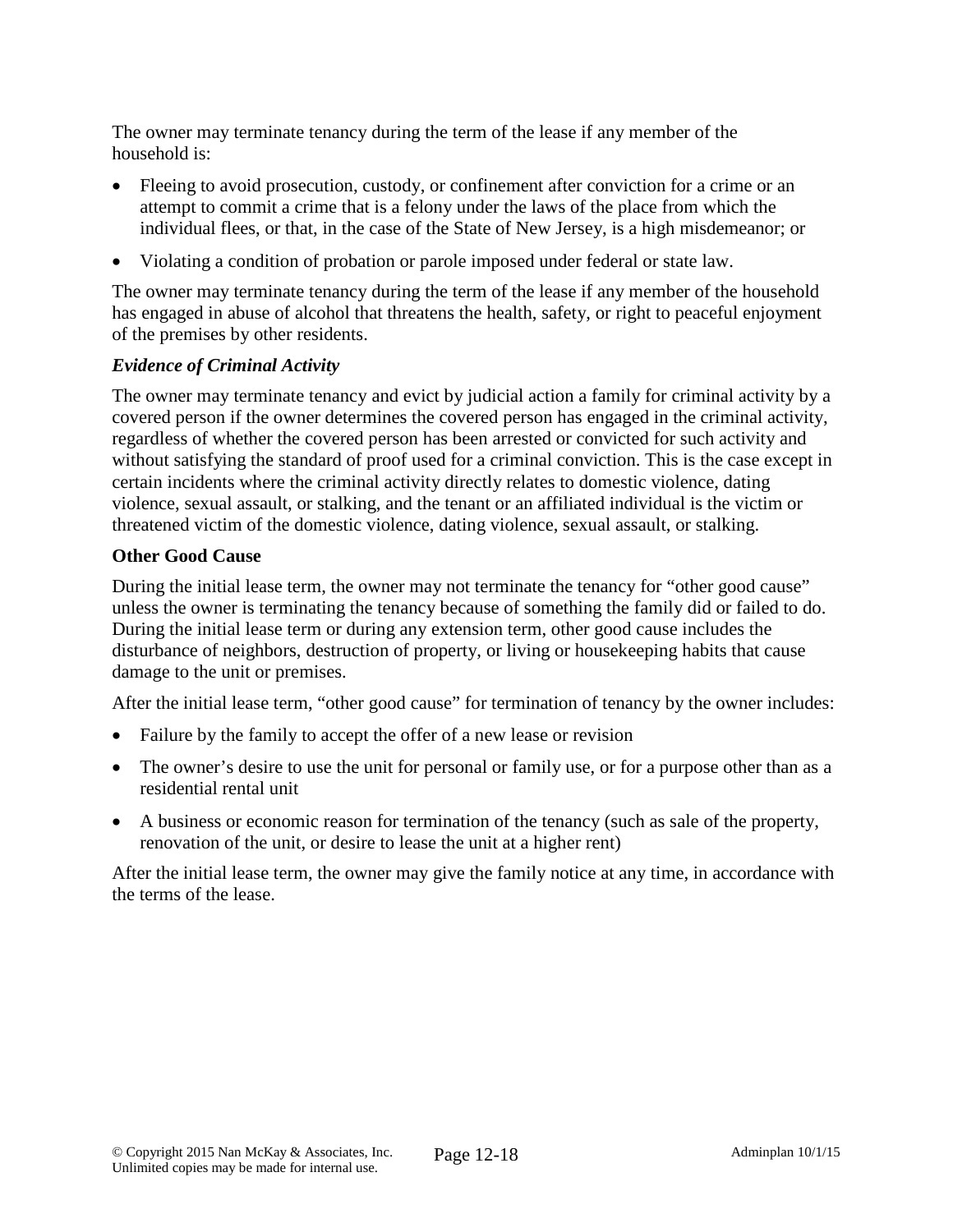The owner may terminate tenancy during the term of the lease if any member of the household is:

- Fleeing to avoid prosecution, custody, or confinement after conviction for a crime or an attempt to commit a crime that is a felony under the laws of the place from which the individual flees, or that, in the case of the State of New Jersey, is a high misdemeanor; or
- Violating a condition of probation or parole imposed under federal or state law.

The owner may terminate tenancy during the term of the lease if any member of the household has engaged in abuse of alcohol that threatens the health, safety, or right to peaceful enjoyment of the premises by other residents.

## *Evidence of Criminal Activity*

The owner may terminate tenancy and evict by judicial action a family for criminal activity by a covered person if the owner determines the covered person has engaged in the criminal activity, regardless of whether the covered person has been arrested or convicted for such activity and without satisfying the standard of proof used for a criminal conviction. This is the case except in certain incidents where the criminal activity directly relates to domestic violence, dating violence, sexual assault, or stalking, and the tenant or an affiliated individual is the victim or threatened victim of the domestic violence, dating violence, sexual assault, or stalking.

## **Other Good Cause**

During the initial lease term, the owner may not terminate the tenancy for "other good cause" unless the owner is terminating the tenancy because of something the family did or failed to do. During the initial lease term or during any extension term, other good cause includes the disturbance of neighbors, destruction of property, or living or housekeeping habits that cause damage to the unit or premises.

After the initial lease term, "other good cause" for termination of tenancy by the owner includes:

- Failure by the family to accept the offer of a new lease or revision
- The owner's desire to use the unit for personal or family use, or for a purpose other than as a residential rental unit
- A business or economic reason for termination of the tenancy (such as sale of the property, renovation of the unit, or desire to lease the unit at a higher rent)

After the initial lease term, the owner may give the family notice at any time, in accordance with the terms of the lease.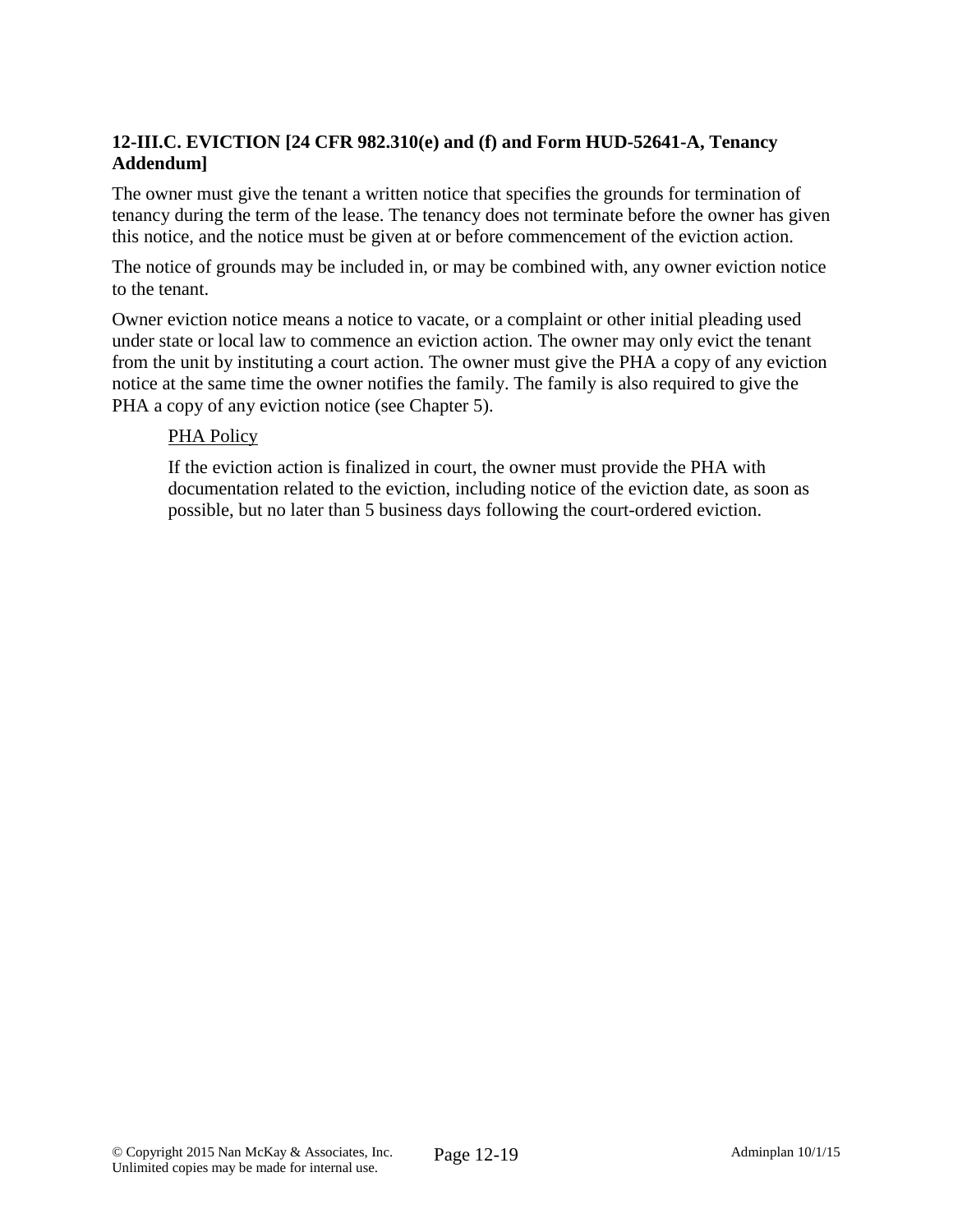# **12-III.C. EVICTION [24 CFR 982.310(e) and (f) and Form HUD-52641-A, Tenancy Addendum]**

The owner must give the tenant a written notice that specifies the grounds for termination of tenancy during the term of the lease. The tenancy does not terminate before the owner has given this notice, and the notice must be given at or before commencement of the eviction action.

The notice of grounds may be included in, or may be combined with, any owner eviction notice to the tenant.

Owner eviction notice means a notice to vacate, or a complaint or other initial pleading used under state or local law to commence an eviction action. The owner may only evict the tenant from the unit by instituting a court action. The owner must give the PHA a copy of any eviction notice at the same time the owner notifies the family. The family is also required to give the PHA a copy of any eviction notice (see Chapter 5).

#### PHA Policy

If the eviction action is finalized in court, the owner must provide the PHA with documentation related to the eviction, including notice of the eviction date, as soon as possible, but no later than 5 business days following the court-ordered eviction.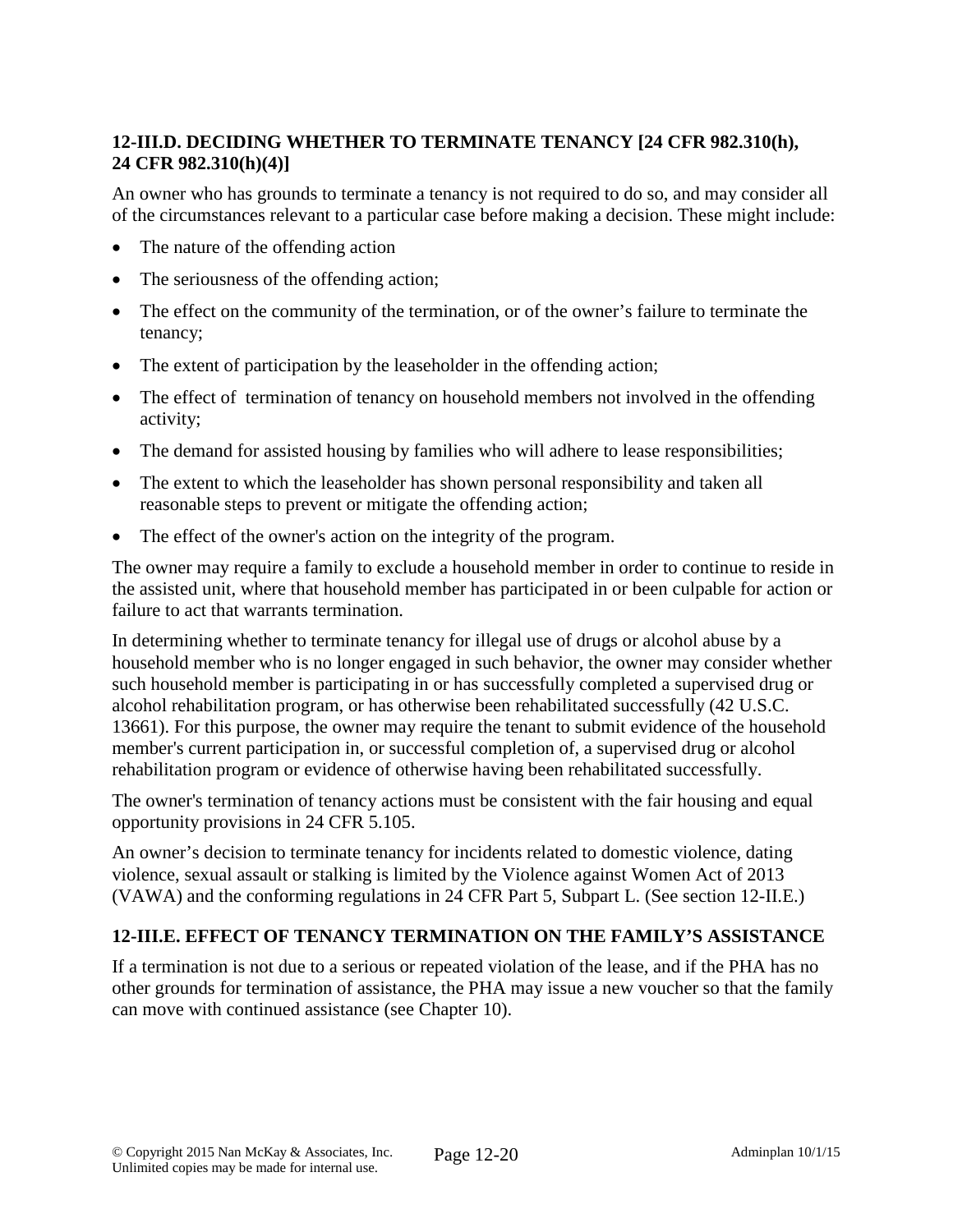# **12-III.D. DECIDING WHETHER TO TERMINATE TENANCY [24 CFR 982.310(h), 24 CFR 982.310(h)(4)]**

An owner who has grounds to terminate a tenancy is not required to do so, and may consider all of the circumstances relevant to a particular case before making a decision. These might include:

- The nature of the offending action
- The seriousness of the offending action;
- The effect on the community of the termination, or of the owner's failure to terminate the tenancy;
- The extent of participation by the leaseholder in the offending action;
- The effect of termination of tenancy on household members not involved in the offending activity;
- The demand for assisted housing by families who will adhere to lease responsibilities;
- The extent to which the leaseholder has shown personal responsibility and taken all reasonable steps to prevent or mitigate the offending action;
- The effect of the owner's action on the integrity of the program.

The owner may require a family to exclude a household member in order to continue to reside in the assisted unit, where that household member has participated in or been culpable for action or failure to act that warrants termination.

In determining whether to terminate tenancy for illegal use of drugs or alcohol abuse by a household member who is no longer engaged in such behavior, the owner may consider whether such household member is participating in or has successfully completed a supervised drug or alcohol rehabilitation program, or has otherwise been rehabilitated successfully (42 U.S.C. 13661). For this purpose, the owner may require the tenant to submit evidence of the household member's current participation in, or successful completion of, a supervised drug or alcohol rehabilitation program or evidence of otherwise having been rehabilitated successfully.

The owner's termination of tenancy actions must be consistent with the fair housing and equal opportunity provisions in 24 CFR 5.105.

An owner's decision to terminate tenancy for incidents related to domestic violence, dating violence, sexual assault or stalking is limited by the Violence against Women Act of 2013 (VAWA) and the conforming regulations in 24 CFR Part 5, Subpart L. (See section 12-II.E.)

# **12-III.E. EFFECT OF TENANCY TERMINATION ON THE FAMILY'S ASSISTANCE**

If a termination is not due to a serious or repeated violation of the lease, and if the PHA has no other grounds for termination of assistance, the PHA may issue a new voucher so that the family can move with continued assistance (see Chapter 10).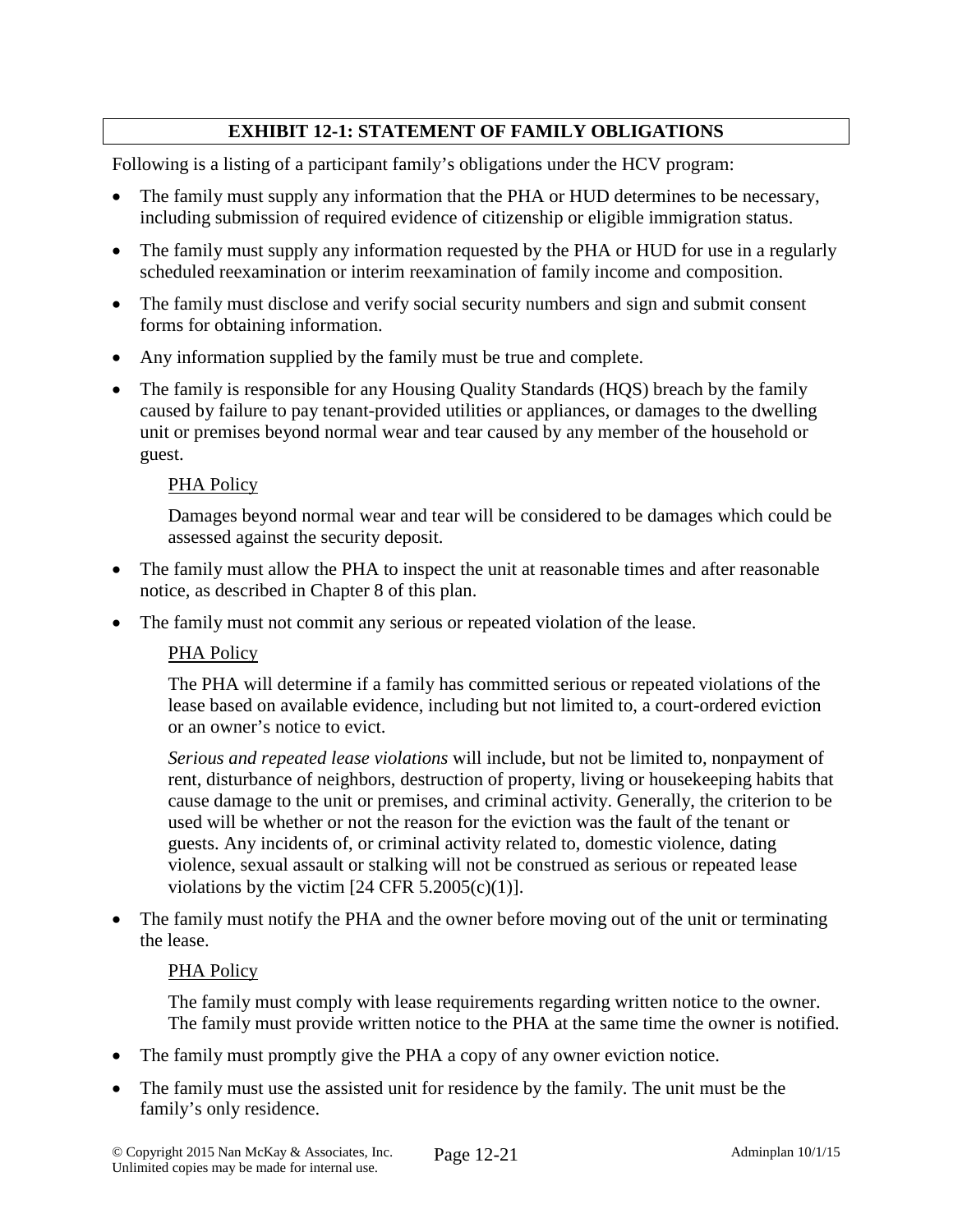# **EXHIBIT 12-1: STATEMENT OF FAMILY OBLIGATIONS**

Following is a listing of a participant family's obligations under the HCV program:

- The family must supply any information that the PHA or HUD determines to be necessary, including submission of required evidence of citizenship or eligible immigration status.
- The family must supply any information requested by the PHA or HUD for use in a regularly scheduled reexamination or interim reexamination of family income and composition.
- The family must disclose and verify social security numbers and sign and submit consent forms for obtaining information.
- Any information supplied by the family must be true and complete.
- The family is responsible for any Housing Quality Standards (HQS) breach by the family caused by failure to pay tenant-provided utilities or appliances, or damages to the dwelling unit or premises beyond normal wear and tear caused by any member of the household or guest.

#### PHA Policy

Damages beyond normal wear and tear will be considered to be damages which could be assessed against the security deposit.

- The family must allow the PHA to inspect the unit at reasonable times and after reasonable notice, as described in Chapter 8 of this plan.
- The family must not commit any serious or repeated violation of the lease.

#### PHA Policy

The PHA will determine if a family has committed serious or repeated violations of the lease based on available evidence, including but not limited to, a court-ordered eviction or an owner's notice to evict.

*Serious and repeated lease violations* will include, but not be limited to, nonpayment of rent, disturbance of neighbors, destruction of property, living or housekeeping habits that cause damage to the unit or premises, and criminal activity. Generally, the criterion to be used will be whether or not the reason for the eviction was the fault of the tenant or guests. Any incidents of, or criminal activity related to, domestic violence, dating violence, sexual assault or stalking will not be construed as serious or repeated lease violations by the victim  $[24 \text{ CFR } 5.2005(c)(1)].$ 

• The family must notify the PHA and the owner before moving out of the unit or terminating the lease.

#### PHA Policy

The family must comply with lease requirements regarding written notice to the owner. The family must provide written notice to the PHA at the same time the owner is notified.

- The family must promptly give the PHA a copy of any owner eviction notice.
- The family must use the assisted unit for residence by the family. The unit must be the family's only residence.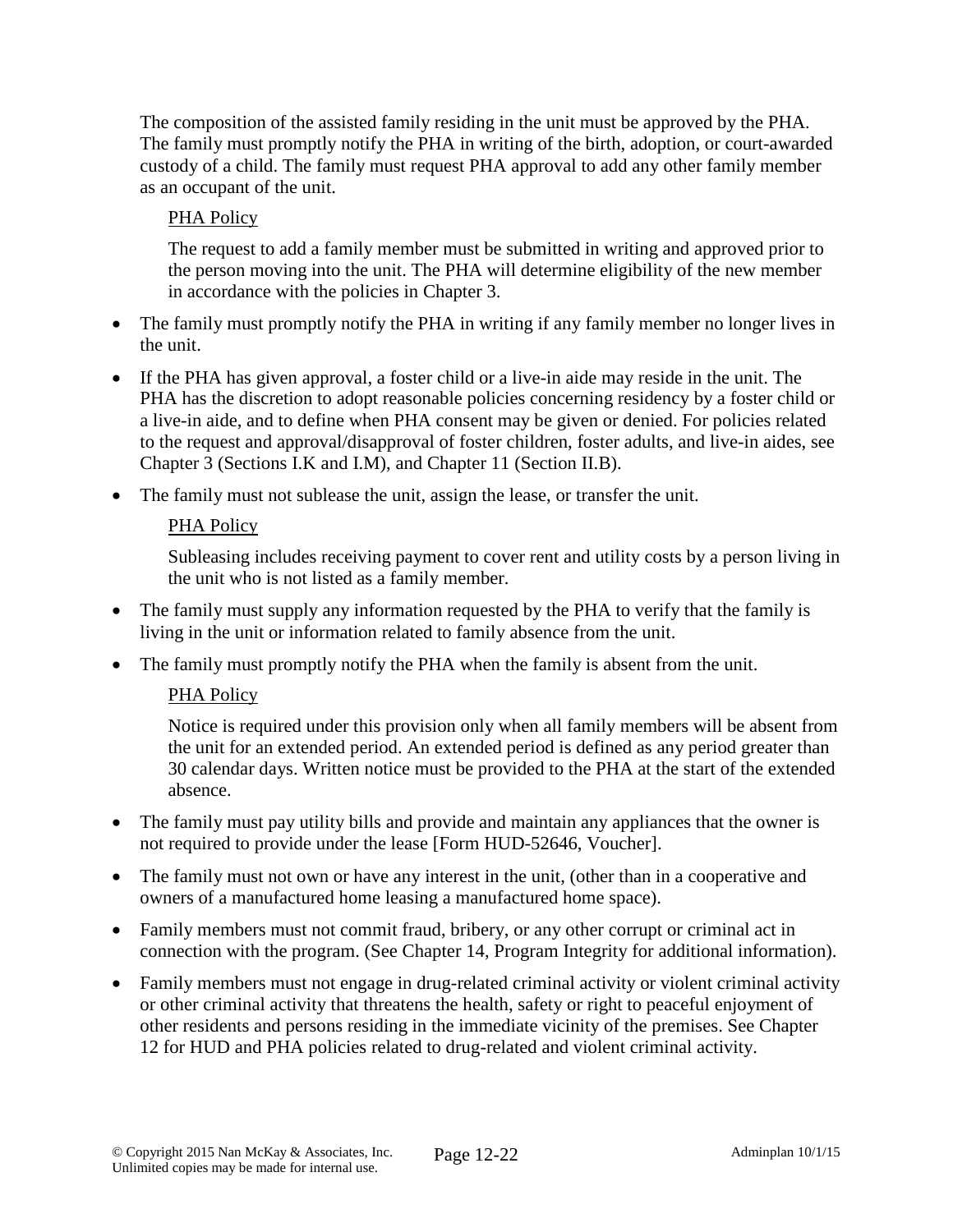The composition of the assisted family residing in the unit must be approved by the PHA. The family must promptly notify the PHA in writing of the birth, adoption, or court-awarded custody of a child. The family must request PHA approval to add any other family member as an occupant of the unit.

# PHA Policy

The request to add a family member must be submitted in writing and approved prior to the person moving into the unit. The PHA will determine eligibility of the new member in accordance with the policies in Chapter 3.

- The family must promptly notify the PHA in writing if any family member no longer lives in the unit.
- If the PHA has given approval, a foster child or a live-in aide may reside in the unit. The PHA has the discretion to adopt reasonable policies concerning residency by a foster child or a live-in aide, and to define when PHA consent may be given or denied. For policies related to the request and approval/disapproval of foster children, foster adults, and live-in aides, see Chapter 3 (Sections I.K and I.M), and Chapter 11 (Section II.B).
- The family must not sublease the unit, assign the lease, or transfer the unit.

## PHA Policy

Subleasing includes receiving payment to cover rent and utility costs by a person living in the unit who is not listed as a family member.

- The family must supply any information requested by the PHA to verify that the family is living in the unit or information related to family absence from the unit.
- The family must promptly notify the PHA when the family is absent from the unit.

## PHA Policy

Notice is required under this provision only when all family members will be absent from the unit for an extended period. An extended period is defined as any period greater than 30 calendar days. Written notice must be provided to the PHA at the start of the extended absence.

- The family must pay utility bills and provide and maintain any appliances that the owner is not required to provide under the lease [Form HUD-52646, Voucher].
- The family must not own or have any interest in the unit, (other than in a cooperative and owners of a manufactured home leasing a manufactured home space).
- Family members must not commit fraud, bribery, or any other corrupt or criminal act in connection with the program. (See Chapter 14, Program Integrity for additional information).
- Family members must not engage in drug-related criminal activity or violent criminal activity or other criminal activity that threatens the health, safety or right to peaceful enjoyment of other residents and persons residing in the immediate vicinity of the premises. See Chapter 12 for HUD and PHA policies related to drug-related and violent criminal activity.